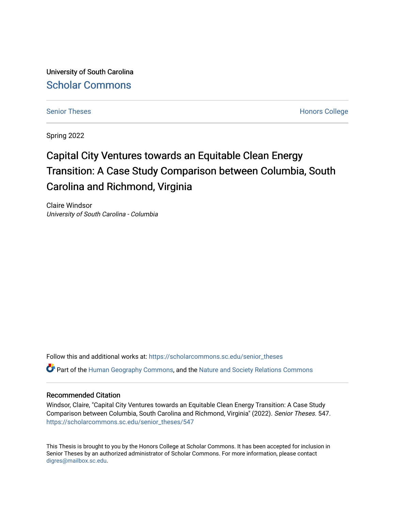University of South Carolina [Scholar Commons](https://scholarcommons.sc.edu/) 

[Senior Theses](https://scholarcommons.sc.edu/senior_theses) **Honors College** [Honors College](https://scholarcommons.sc.edu/honors_college) **Honors College** 

Spring 2022

# Capital City Ventures towards an Equitable Clean Energy Transition: A Case Study Comparison between Columbia, South Carolina and Richmond, Virginia

Claire Windsor University of South Carolina - Columbia

Follow this and additional works at: [https://scholarcommons.sc.edu/senior\\_theses](https://scholarcommons.sc.edu/senior_theses?utm_source=scholarcommons.sc.edu%2Fsenior_theses%2F547&utm_medium=PDF&utm_campaign=PDFCoverPages)   $\bullet$  Part of the [Human Geography Commons,](http://network.bepress.com/hgg/discipline/356?utm_source=scholarcommons.sc.edu%2Fsenior_theses%2F547&utm_medium=PDF&utm_campaign=PDFCoverPages) and the [Nature and Society Relations Commons](http://network.bepress.com/hgg/discipline/357?utm_source=scholarcommons.sc.edu%2Fsenior_theses%2F547&utm_medium=PDF&utm_campaign=PDFCoverPages)

# Recommended Citation

Windsor, Claire, "Capital City Ventures towards an Equitable Clean Energy Transition: A Case Study Comparison between Columbia, South Carolina and Richmond, Virginia" (2022). Senior Theses. 547. [https://scholarcommons.sc.edu/senior\\_theses/547](https://scholarcommons.sc.edu/senior_theses/547?utm_source=scholarcommons.sc.edu%2Fsenior_theses%2F547&utm_medium=PDF&utm_campaign=PDFCoverPages) 

This Thesis is brought to you by the Honors College at Scholar Commons. It has been accepted for inclusion in Senior Theses by an authorized administrator of Scholar Commons. For more information, please contact [digres@mailbox.sc.edu](mailto:digres@mailbox.sc.edu).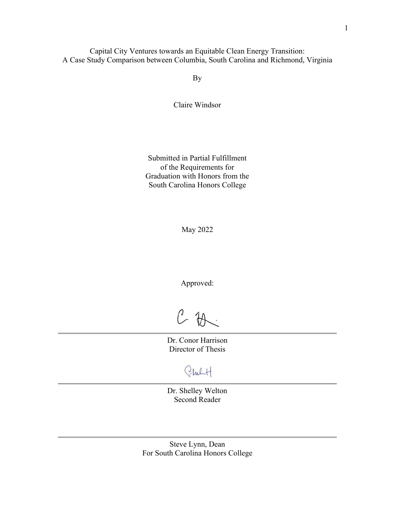Capital City Ventures towards an Equitable Clean Energy Transition: A Case Study Comparison between Columbia, South Carolina and Richmond, Virginia

By

Claire Windsor

Submitted in Partial Fulfillment of the Requirements for Graduation with Honors from the South Carolina Honors College

May 2022

Approved:

 $C$  the

Dr. Conor Harrison Director of Thesis

Cheft.

Dr. Shelley Welton Second Reader

Steve Lynn, Dean For South Carolina Honors College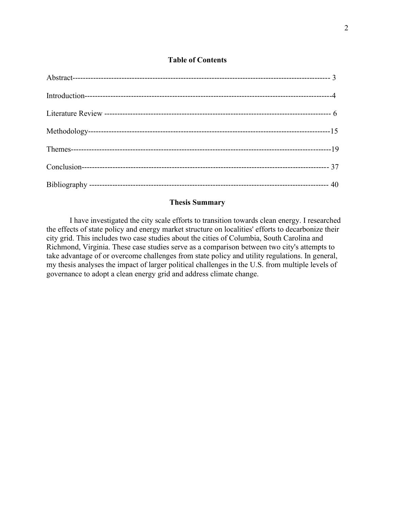# **Table of Contents**

# **Thesis Summary**

I have investigated the city scale efforts to transition towards clean energy. I researched the effects of state policy and energy market structure on localities' efforts to decarbonize their city grid. This includes two case studies about the cities of Columbia, South Carolina and Richmond, Virginia. These case studies serve as a comparison between two city's attempts to take advantage of or overcome challenges from state policy and utility regulations. In general, my thesis analyses the impact of larger political challenges in the U.S. from multiple levels of governance to adopt a clean energy grid and address climate change.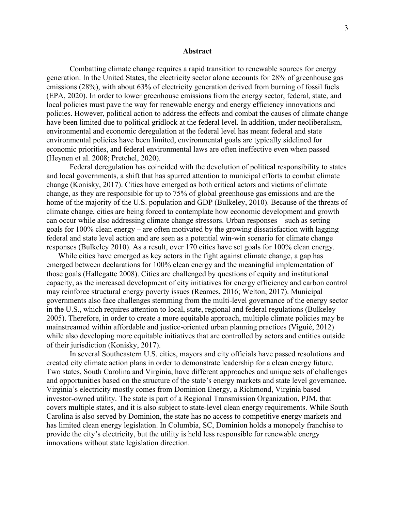#### **Abstract**

Combatting climate change requires a rapid transition to renewable sources for energy generation. In the United States, the electricity sector alone accounts for 28% of greenhouse gas emissions (28%), with about 63% of electricity generation derived from burning of fossil fuels (EPA, 2020). In order to lower greenhouse emissions from the energy sector, federal, state, and local policies must pave the way for renewable energy and energy efficiency innovations and policies. However, political action to address the effects and combat the causes of climate change have been limited due to political gridlock at the federal level. In addition, under neoliberalism, environmental and economic deregulation at the federal level has meant federal and state environmental policies have been limited, environmental goals are typically sidelined for economic priorities, and federal environmental laws are often ineffective even when passed (Heynen et al. 2008; Pretchel, 2020).

Federal deregulation has coincided with the devolution of political responsibility to states and local governments, a shift that has spurred attention to municipal efforts to combat climate change (Konisky, 2017). Cities have emerged as both critical actors and victims of climate change, as they are responsible for up to 75% of global greenhouse gas emissions and are the home of the majority of the U.S. population and GDP (Bulkeley, 2010). Because of the threats of climate change, cities are being forced to contemplate how economic development and growth can occur while also addressing climate change stressors. Urban responses – such as setting goals for 100% clean energy – are often motivated by the growing dissatisfaction with lagging federal and state level action and are seen as a potential win-win scenario for climate change responses (Bulkeley 2010). As a result, over 170 cities have set goals for 100% clean energy.

While cities have emerged as key actors in the fight against climate change, a gap has emerged between declarations for 100% clean energy and the meaningful implementation of those goals (Hallegatte 2008). Cities are challenged by questions of equity and institutional capacity, as the increased development of city initiatives for energy efficiency and carbon control may reinforce structural energy poverty issues (Reames, 2016; Welton, 2017). Municipal governments also face challenges stemming from the multi-level governance of the energy sector in the U.S., which requires attention to local, state, regional and federal regulations (Bulkeley 2005). Therefore, in order to create a more equitable approach, multiple climate policies may be mainstreamed within affordable and justice-oriented urban planning practices (Viguié, 2012) while also developing more equitable initiatives that are controlled by actors and entities outside of their jurisdiction (Konisky, 2017).

In several Southeastern U.S. cities, mayors and city officials have passed resolutions and created city climate action plans in order to demonstrate leadership for a clean energy future. Two states, South Carolina and Virginia, have different approaches and unique sets of challenges and opportunities based on the structure of the state's energy markets and state level governance. Virginia's electricity mostly comes from Dominion Energy, a Richmond, Virginia based investor-owned utility. The state is part of a Regional Transmission Organization, PJM, that covers multiple states, and it is also subject to state-level clean energy requirements. While South Carolina is also served by Dominion, the state has no access to competitive energy markets and has limited clean energy legislation. In Columbia, SC, Dominion holds a monopoly franchise to provide the city's electricity, but the utility is held less responsible for renewable energy innovations without state legislation direction.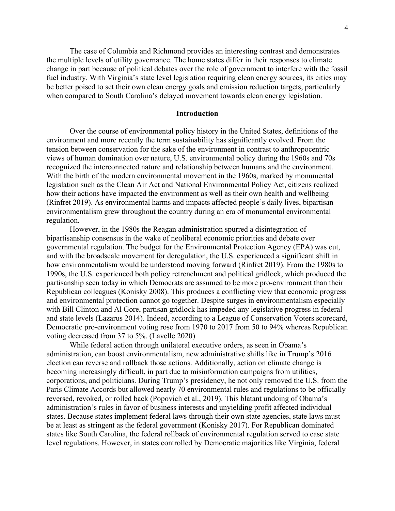The case of Columbia and Richmond provides an interesting contrast and demonstrates the multiple levels of utility governance. The home states differ in their responses to climate change in part because of political debates over the role of government to interfere with the fossil fuel industry. With Virginia's state level legislation requiring clean energy sources, its cities may be better poised to set their own clean energy goals and emission reduction targets, particularly when compared to South Carolina's delayed movement towards clean energy legislation.

# **Introduction**

Over the course of environmental policy history in the United States, definitions of the environment and more recently the term sustainability has significantly evolved. From the tension between conservation for the sake of the environment in contrast to anthropocentric views of human domination over nature, U.S. environmental policy during the 1960s and 70s recognized the interconnected nature and relationship between humans and the environment. With the birth of the modern environmental movement in the 1960s, marked by monumental legislation such as the Clean Air Act and National Environmental Policy Act, citizens realized how their actions have impacted the environment as well as their own health and wellbeing (Rinfret 2019). As environmental harms and impacts affected people's daily lives, bipartisan environmentalism grew throughout the country during an era of monumental environmental regulation.

However, in the 1980s the Reagan administration spurred a disintegration of bipartisanship consensus in the wake of neoliberal economic priorities and debate over governmental regulation. The budget for the Environmental Protection Agency (EPA) was cut, and with the broadscale movement for deregulation, the U.S. experienced a significant shift in how environmentalism would be understood moving forward (Rinfret 2019). From the 1980s to 1990s, the U.S. experienced both policy retrenchment and political gridlock, which produced the partisanship seen today in which Democrats are assumed to be more pro-environment than their Republican colleagues (Konisky 2008). This produces a conflicting view that economic progress and environmental protection cannot go together. Despite surges in environmentalism especially with Bill Clinton and Al Gore, partisan gridlock has impeded any legislative progress in federal and state levels (Lazarus 2014). Indeed, according to a League of Conservation Voters scorecard, Democratic pro-environment voting rose from 1970 to 2017 from 50 to 94% whereas Republican voting decreased from 37 to 5%. (Lavelle 2020)

While federal action through unilateral executive orders, as seen in Obama's administration, can boost environmentalism, new administrative shifts like in Trump's 2016 election can reverse and rollback those actions. Additionally, action on climate change is becoming increasingly difficult, in part due to misinformation campaigns from utilities, corporations, and politicians. During Trump's presidency, he not only removed the U.S. from the Paris Climate Accords but allowed nearly 70 environmental rules and regulations to be officially reversed, revoked, or rolled back (Popovich et al., 2019). This blatant undoing of Obama's administration's rules in favor of business interests and unyielding profit affected individual states. Because states implement federal laws through their own state agencies, state laws must be at least as stringent as the federal government (Konisky 2017). For Republican dominated states like South Carolina, the federal rollback of environmental regulation served to ease state level regulations. However, in states controlled by Democratic majorities like Virginia, federal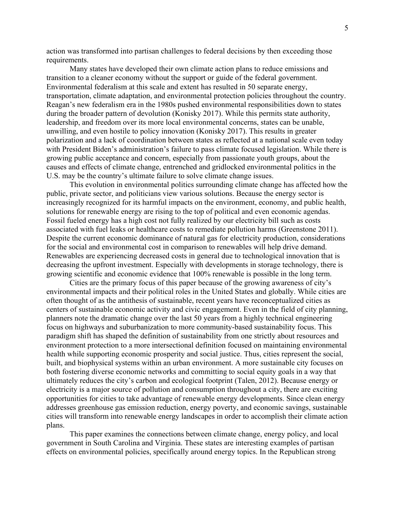action was transformed into partisan challenges to federal decisions by then exceeding those requirements.

Many states have developed their own climate action plans to reduce emissions and transition to a cleaner economy without the support or guide of the federal government. Environmental federalism at this scale and extent has resulted in 50 separate energy, transportation, climate adaptation, and environmental protection policies throughout the country. Reagan's new federalism era in the 1980s pushed environmental responsibilities down to states during the broader pattern of devolution (Konisky 2017). While this permits state authority, leadership, and freedom over its more local environmental concerns, states can be unable, unwilling, and even hostile to policy innovation (Konisky 2017). This results in greater polarization and a lack of coordination between states as reflected at a national scale even today with President Biden's administration's failure to pass climate focused legislation. While there is growing public acceptance and concern, especially from passionate youth groups, about the causes and effects of climate change, entrenched and gridlocked environmental politics in the U.S. may be the country's ultimate failure to solve climate change issues.

This evolution in environmental politics surrounding climate change has affected how the public, private sector, and politicians view various solutions. Because the energy sector is increasingly recognized for its harmful impacts on the environment, economy, and public health, solutions for renewable energy are rising to the top of political and even economic agendas. Fossil fueled energy has a high cost not fully realized by our electricity bill such as costs associated with fuel leaks or healthcare costs to remediate pollution harms (Greenstone 2011). Despite the current economic dominance of natural gas for electricity production, considerations for the social and environmental cost in comparison to renewables will help drive demand. Renewables are experiencing decreased costs in general due to technological innovation that is decreasing the upfront investment. Especially with developments in storage technology, there is growing scientific and economic evidence that 100% renewable is possible in the long term.

Cities are the primary focus of this paper because of the growing awareness of city's environmental impacts and their political roles in the United States and globally. While cities are often thought of as the antithesis of sustainable, recent years have reconceptualized cities as centers of sustainable economic activity and civic engagement. Even in the field of city planning, planners note the dramatic change over the last 50 years from a highly technical engineering focus on highways and suburbanization to more community-based sustainability focus. This paradigm shift has shaped the definition of sustainability from one strictly about resources and environment protection to a more intersectional definition focused on maintaining environmental health while supporting economic prosperity and social justice. Thus, cities represent the social, built, and biophysical systems within an urban environment. A more sustainable city focuses on both fostering diverse economic networks and committing to social equity goals in a way that ultimately reduces the city's carbon and ecological footprint (Talen, 2012). Because energy or electricity is a major source of pollution and consumption throughout a city, there are exciting opportunities for cities to take advantage of renewable energy developments. Since clean energy addresses greenhouse gas emission reduction, energy poverty, and economic savings, sustainable cities will transform into renewable energy landscapes in order to accomplish their climate action plans.

This paper examines the connections between climate change, energy policy, and local government in South Carolina and Virginia. These states are interesting examples of partisan effects on environmental policies, specifically around energy topics. In the Republican strong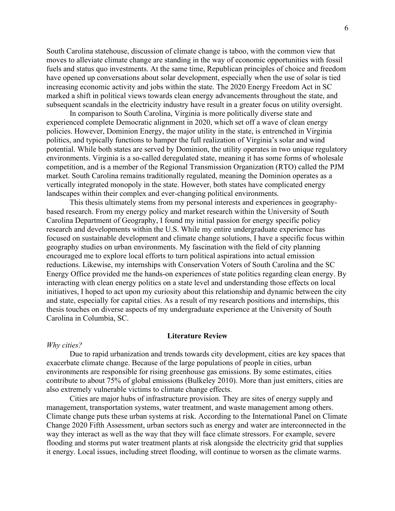South Carolina statehouse, discussion of climate change is taboo, with the common view that moves to alleviate climate change are standing in the way of economic opportunities with fossil fuels and status quo investments. At the same time, Republican principles of choice and freedom have opened up conversations about solar development, especially when the use of solar is tied increasing economic activity and jobs within the state. The 2020 Energy Freedom Act in SC marked a shift in political views towards clean energy advancements throughout the state, and subsequent scandals in the electricity industry have result in a greater focus on utility oversight.

In comparison to South Carolina, Virginia is more politically diverse state and experienced complete Democratic alignment in 2020, which set off a wave of clean energy policies. However, Dominion Energy, the major utility in the state, is entrenched in Virginia politics, and typically functions to hamper the full realization of Virginia's solar and wind potential. While both states are served by Dominion, the utility operates in two unique regulatory environments. Virginia is a so-called deregulated state, meaning it has some forms of wholesale competition, and is a member of the Regional Transmission Organization (RTO) called the PJM market. South Carolina remains traditionally regulated, meaning the Dominion operates as a vertically integrated monopoly in the state. However, both states have complicated energy landscapes within their complex and ever-changing political environments.

This thesis ultimately stems from my personal interests and experiences in geographybased research. From my energy policy and market research within the University of South Carolina Department of Geography, I found my initial passion for energy specific policy research and developments within the U.S. While my entire undergraduate experience has focused on sustainable development and climate change solutions, I have a specific focus within geography studies on urban environments. My fascination with the field of city planning encouraged me to explore local efforts to turn political aspirations into actual emission reductions. Likewise, my internships with Conservation Voters of South Carolina and the SC Energy Office provided me the hands-on experiences of state politics regarding clean energy. By interacting with clean energy politics on a state level and understanding those effects on local initiatives, I hoped to act upon my curiosity about this relationship and dynamic between the city and state, especially for capital cities. As a result of my research positions and internships, this thesis touches on diverse aspects of my undergraduate experience at the University of South Carolina in Columbia, SC.

# **Literature Review**

#### *Why cities?*

Due to rapid urbanization and trends towards city development, cities are key spaces that exacerbate climate change. Because of the large populations of people in cities, urban environments are responsible for rising greenhouse gas emissions. By some estimates, cities contribute to about 75% of global emissions (Bulkeley 2010). More than just emitters, cities are also extremely vulnerable victims to climate change effects.

Cities are major hubs of infrastructure provision. They are sites of energy supply and management, transportation systems, water treatment, and waste management among others. Climate change puts these urban systems at risk. According to the International Panel on Climate Change 2020 Fifth Assessment, urban sectors such as energy and water are interconnected in the way they interact as well as the way that they will face climate stressors. For example, severe flooding and storms put water treatment plants at risk alongside the electricity grid that supplies it energy. Local issues, including street flooding, will continue to worsen as the climate warms.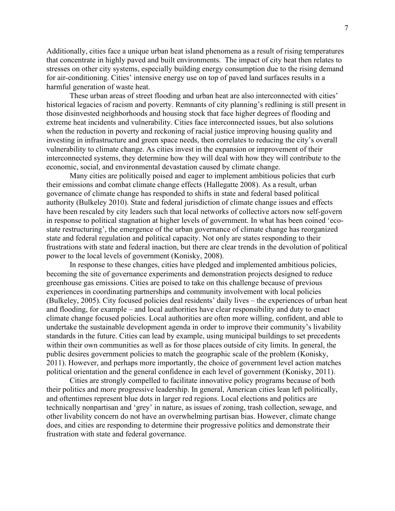Additionally, cities face a unique urban heat island phenomena as a result of rising temperatures that concentrate in highly paved and built environments. The impact of city heat then relates to stresses on other city systems, especially building energy consumption due to the rising demand for air-conditioning. Cities' intensive energy use on top of paved land surfaces results in a harmful generation of waste heat.

These urban areas of street flooding and urban heat are also interconnected with cities' historical legacies of racism and poverty. Remnants of city planning's redlining is still present in those disinvested neighborhoods and housing stock that face higher degrees of flooding and extreme heat incidents and vulnerability. Cities face interconnected issues, but also solutions when the reduction in poverty and reckoning of racial justice improving housing quality and investing in infrastructure and green space needs, then correlates to reducing the city's overall vulnerability to climate change. As cities invest in the expansion or improvement of their interconnected systems, they determine how they will deal with how they will contribute to the economic, social, and environmental devastation caused by climate change.

Many cities are politically poised and eager to implement ambitious policies that curb their emissions and combat climate change effects (Hallegatte 2008). As a result, urban governance of climate change has responded to shifts in state and federal based political authority (Bulkeley 2010). State and federal jurisdiction of climate change issues and effects have been rescaled by city leaders such that local networks of collective actors now self-govern in response to political stagnation at higher levels of government. In what has been coined 'ecostate restructuring', the emergence of the urban governance of climate change has reorganized state and federal regulation and political capacity. Not only are states responding to their frustrations with state and federal inaction, but there are clear trends in the devolution of political power to the local levels of government (Konisky, 2008).

In response to these changes, cities have pledged and implemented ambitious policies, becoming the site of governance experiments and demonstration projects designed to reduce greenhouse gas emissions. Cities are poised to take on this challenge because of previous experiences in coordinating partnerships and community involvement with local policies (Bulkeley, 2005). City focused policies deal residents' daily lives – the experiences of urban heat and flooding, for example – and local authorities have clear responsibility and duty to enact climate change focused policies. Local authorities are often more willing, confident, and able to undertake the sustainable development agenda in order to improve their community's livability standards in the future. Cities can lead by example, using municipal buildings to set precedents within their own communities as well as for those places outside of city limits. In general, the public desires government policies to match the geographic scale of the problem (Konisky, 2011). However, and perhaps more importantly, the choice of government level action matches political orientation and the general confidence in each level of government (Konisky, 2011).

Cities are strongly compelled to facilitate innovative policy programs because of both their politics and more progressive leadership. In general, American cities lean left politically, and oftentimes represent blue dots in larger red regions. Local elections and politics are technically nonpartisan and 'grey' in nature, as issues of zoning, trash collection, sewage, and other livability concern do not have an overwhelming partisan bias. However, climate change does, and cities are responding to determine their progressive politics and demonstrate their frustration with state and federal governance.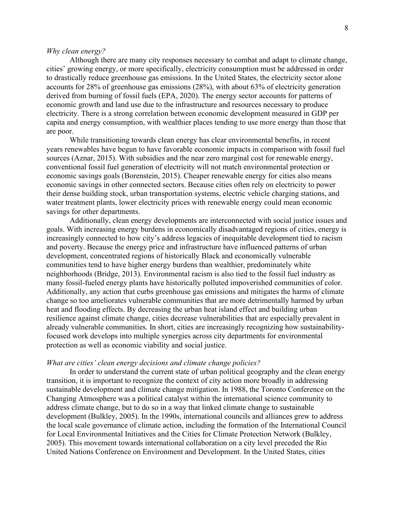#### *Why clean energy?*

Although there are many city responses necessary to combat and adapt to climate change, cities' growing energy, or more specifically, electricity consumption must be addressed in order to drastically reduce greenhouse gas emissions. In the United States, the electricity sector alone accounts for 28% of greenhouse gas emissions (28%), with about 63% of electricity generation derived from burning of fossil fuels (EPA, 2020). The energy sector accounts for patterns of economic growth and land use due to the infrastructure and resources necessary to produce electricity. There is a strong correlation between economic development measured in GDP per capita and energy consumption, with wealthier places tending to use more energy than those that are poor.

While transitioning towards clean energy has clear environmental benefits, in recent years renewables have begun to have favorable economic impacts in comparison with fossil fuel sources (Aznar, 2015). With subsidies and the near zero marginal cost for renewable energy, conventional fossil fuel generation of electricity will not match environmental protection or economic savings goals (Borenstein, 2015). Cheaper renewable energy for cities also means economic savings in other connected sectors. Because cities often rely on electricity to power their dense building stock, urban transportation systems, electric vehicle charging stations, and water treatment plants, lower electricity prices with renewable energy could mean economic savings for other departments.

Additionally, clean energy developments are interconnected with social justice issues and goals. With increasing energy burdens in economically disadvantaged regions of cities, energy is increasingly connected to how city's address legacies of inequitable development tied to racism and poverty. Because the energy price and infrastructure have influenced patterns of urban development, concentrated regions of historically Black and economically vulnerable communities tend to have higher energy burdens than wealthier, predominately white neighborhoods (Bridge, 2013). Environmental racism is also tied to the fossil fuel industry as many fossil-fueled energy plants have historically polluted impoverished communities of color. Additionally, any action that curbs greenhouse gas emissions and mitigates the harms of climate change so too ameliorates vulnerable communities that are more detrimentally harmed by urban heat and flooding effects. By decreasing the urban heat island effect and building urban resilience against climate change, cities decrease vulnerabilities that are especially prevalent in already vulnerable communities. In short, cities are increasingly recognizing how sustainabilityfocused work develops into multiple synergies across city departments for environmental protection as well as economic viability and social justice.

#### *What are cities' clean energy decisions and climate change policies?*

In order to understand the current state of urban political geography and the clean energy transition, it is important to recognize the context of city action more broadly in addressing sustainable development and climate change mitigation. In 1988, the Toronto Conference on the Changing Atmosphere was a political catalyst within the international science community to address climate change, but to do so in a way that linked climate change to sustainable development (Bulkley, 2005). In the 1990s, international councils and alliances grew to address the local scale governance of climate action, including the formation of the International Council for Local Environmental Initiatives and the Cities for Climate Protection Network (Bulkley, 2005). This movement towards international collaboration on a city level preceded the Rio United Nations Conference on Environment and Development. In the United States, cities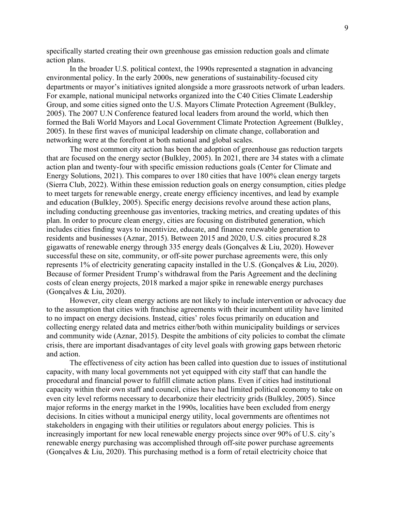specifically started creating their own greenhouse gas emission reduction goals and climate action plans.

In the broader U.S. political context, the 1990s represented a stagnation in advancing environmental policy. In the early 2000s, new generations of sustainability-focused city departments or mayor's initiatives ignited alongside a more grassroots network of urban leaders. For example, national municipal networks organized into the C40 Cities Climate Leadership Group, and some cities signed onto the U.S. Mayors Climate Protection Agreement (Bulkley, 2005). The 2007 U.N Conference featured local leaders from around the world, which then formed the Bali World Mayors and Local Government Climate Protection Agreement (Bulkley, 2005). In these first waves of municipal leadership on climate change, collaboration and networking were at the forefront at both national and global scales.

The most common city action has been the adoption of greenhouse gas reduction targets that are focused on the energy sector (Bulkley, 2005). In 2021, there are 34 states with a climate action plan and twenty-four with specific emission reductions goals (Center for Climate and Energy Solutions, 2021). This compares to over 180 cities that have 100% clean energy targets (Sierra Club, 2022). Within these emission reduction goals on energy consumption, cities pledge to meet targets for renewable energy, create energy efficiency incentives, and lead by example and education (Bulkley, 2005). Specific energy decisions revolve around these action plans, including conducting greenhouse gas inventories, tracking metrics, and creating updates of this plan. In order to procure clean energy, cities are focusing on distributed generation, which includes cities finding ways to incentivize, educate, and finance renewable generation to residents and businesses (Aznar, 2015). Between 2015 and 2020, U.S. cities procured 8.28 gigawatts of renewable energy through 335 energy deals (Gonçalves & Liu, 2020). However successful these on site, community, or off-site power purchase agreements were, this only represents 1% of electricity generating capacity installed in the U.S. (Gonçalves & Liu, 2020). Because of former President Trump's withdrawal from the Paris Agreement and the declining costs of clean energy projects, 2018 marked a major spike in renewable energy purchases (Gonçalves & Liu, 2020).

However, city clean energy actions are not likely to include intervention or advocacy due to the assumption that cities with franchise agreements with their incumbent utility have limited to no impact on energy decisions. Instead, cities' roles focus primarily on education and collecting energy related data and metrics either/both within municipality buildings or services and community wide (Aznar, 2015). Despite the ambitions of city policies to combat the climate crisis, there are important disadvantages of city level goals with growing gaps between rhetoric and action.

The effectiveness of city action has been called into question due to issues of institutional capacity, with many local governments not yet equipped with city staff that can handle the procedural and financial power to fulfill climate action plans. Even if cities had institutional capacity within their own staff and council, cities have had limited political economy to take on even city level reforms necessary to decarbonize their electricity grids (Bulkley, 2005). Since major reforms in the energy market in the 1990s, localities have been excluded from energy decisions. In cities without a municipal energy utility, local governments are oftentimes not stakeholders in engaging with their utilities or regulators about energy policies. This is increasingly important for new local renewable energy projects since over 90% of U.S. city's renewable energy purchasing was accomplished through off-site power purchase agreements (Gonçalves & Liu, 2020). This purchasing method is a form of retail electricity choice that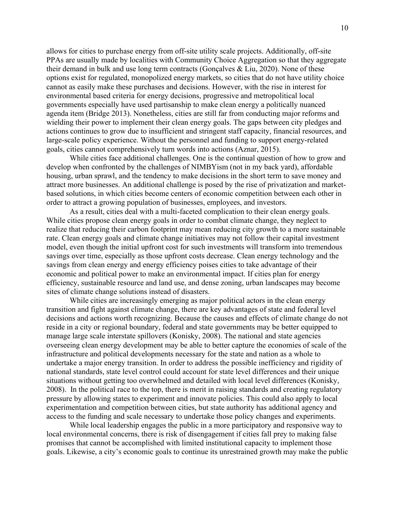allows for cities to purchase energy from off-site utility scale projects. Additionally, off-site PPAs are usually made by localities with Community Choice Aggregation so that they aggregate their demand in bulk and use long term contracts (Gonçalves & Liu, 2020). None of these options exist for regulated, monopolized energy markets, so cities that do not have utility choice cannot as easily make these purchases and decisions. However, with the rise in interest for environmental based criteria for energy decisions, progressive and metropolitical local governments especially have used partisanship to make clean energy a politically nuanced agenda item (Bridge 2013). Nonetheless, cities are still far from conducting major reforms and wielding their power to implement their clean energy goals. The gaps between city pledges and actions continues to grow due to insufficient and stringent staff capacity, financial resources, and large-scale policy experience. Without the personnel and funding to support energy-related goals, cities cannot comprehensively turn words into actions (Aznar, 2015).

While cities face additional challenges. One is the continual question of how to grow and develop when confronted by the challenges of NIMBYism (not in my back yard), affordable housing, urban sprawl, and the tendency to make decisions in the short term to save money and attract more businesses. An additional challenge is posed by the rise of privatization and marketbased solutions, in which cities become centers of economic competition between each other in order to attract a growing population of businesses, employees, and investors.

As a result, cities deal with a multi-faceted complication to their clean energy goals. While cities propose clean energy goals in order to combat climate change, they neglect to realize that reducing their carbon footprint may mean reducing city growth to a more sustainable rate. Clean energy goals and climate change initiatives may not follow their capital investment model, even though the initial upfront cost for such investments will transform into tremendous savings over time, especially as those upfront costs decrease. Clean energy technology and the savings from clean energy and energy efficiency poises cities to take advantage of their economic and political power to make an environmental impact. If cities plan for energy efficiency, sustainable resource and land use, and dense zoning, urban landscapes may become sites of climate change solutions instead of disasters.

While cities are increasingly emerging as major political actors in the clean energy transition and fight against climate change, there are key advantages of state and federal level decisions and actions worth recognizing. Because the causes and effects of climate change do not reside in a city or regional boundary, federal and state governments may be better equipped to manage large scale interstate spillovers (Konisky, 2008). The national and state agencies overseeing clean energy development may be able to better capture the economies of scale of the infrastructure and political developments necessary for the state and nation as a whole to undertake a major energy transition. In order to address the possible inefficiency and rigidity of national standards, state level control could account for state level differences and their unique situations without getting too overwhelmed and detailed with local level differences (Konisky, 2008). In the political race to the top, there is merit in raising standards and creating regulatory pressure by allowing states to experiment and innovate policies. This could also apply to local experimentation and competition between cities, but state authority has additional agency and access to the funding and scale necessary to undertake those policy changes and experiments.

While local leadership engages the public in a more participatory and responsive way to local environmental concerns, there is risk of disengagement if cities fall prey to making false promises that cannot be accomplished with limited institutional capacity to implement those goals. Likewise, a city's economic goals to continue its unrestrained growth may make the public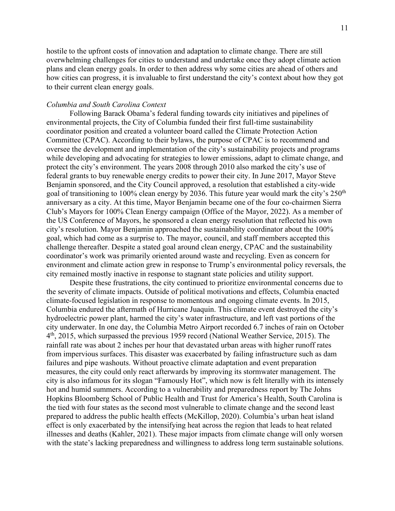hostile to the upfront costs of innovation and adaptation to climate change. There are still overwhelming challenges for cities to understand and undertake once they adopt climate action plans and clean energy goals. In order to then address why some cities are ahead of others and how cities can progress, it is invaluable to first understand the city's context about how they got to their current clean energy goals.

## *Columbia and South Carolina Context*

Following Barack Obama's federal funding towards city initiatives and pipelines of environmental projects, the City of Columbia funded their first full-time sustainability coordinator position and created a volunteer board called the Climate Protection Action Committee (CPAC). According to their bylaws, the purpose of CPAC is to recommend and oversee the development and implementation of the city's sustainability projects and programs while developing and advocating for strategies to lower emissions, adapt to climate change, and protect the city's environment. The years 2008 through 2010 also marked the city's use of federal grants to buy renewable energy credits to power their city. In June 2017, Mayor Steve Benjamin sponsored, and the City Council approved, a resolution that established a city-wide goal of transitioning to 100% clean energy by 2036. This future year would mark the city's  $250<sup>th</sup>$ anniversary as a city. At this time, Mayor Benjamin became one of the four co-chairmen Sierra Club's Mayors for 100% Clean Energy campaign (Office of the Mayor, 2022). As a member of the US Conference of Mayors, he sponsored a clean energy resolution that reflected his own city's resolution. Mayor Benjamin approached the sustainability coordinator about the 100% goal, which had come as a surprise to. The mayor, council, and staff members accepted this challenge thereafter. Despite a stated goal around clean energy, CPAC and the sustainability coordinator's work was primarily oriented around waste and recycling. Even as concern for environment and climate action grew in response to Trump's environmental policy reversals, the city remained mostly inactive in response to stagnant state policies and utility support.

Despite these frustrations, the city continued to prioritize environmental concerns due to the severity of climate impacts. Outside of political motivations and effects, Columbia enacted climate-focused legislation in response to momentous and ongoing climate events. In 2015, Columbia endured the aftermath of Hurricane Juaquin. This climate event destroyed the city's hydroelectric power plant, harmed the city's water infrastructure, and left vast portions of the city underwater. In one day, the Columbia Metro Airport recorded 6.7 inches of rain on October 4<sup>th</sup>, 2015, which surpassed the previous 1959 record (National Weather Service, 2015). The rainfall rate was about 2 inches per hour that devastated urban areas with higher runoff rates from impervious surfaces. This disaster was exacerbated by failing infrastructure such as dam failures and pipe washouts. Without proactive climate adaptation and event preparation measures, the city could only react afterwards by improving its stormwater management. The city is also infamous for its slogan "Famously Hot", which now is felt literally with its intensely hot and humid summers. According to a vulnerability and preparedness report by The Johns Hopkins Bloomberg School of Public Health and Trust for America's Health, South Carolina is the tied with four states as the second most vulnerable to climate change and the second least prepared to address the public health effects (McKillop, 2020). Columbia's urban heat island effect is only exacerbated by the intensifying heat across the region that leads to heat related illnesses and deaths (Kahler, 2021). These major impacts from climate change will only worsen with the state's lacking preparedness and willingness to address long term sustainable solutions.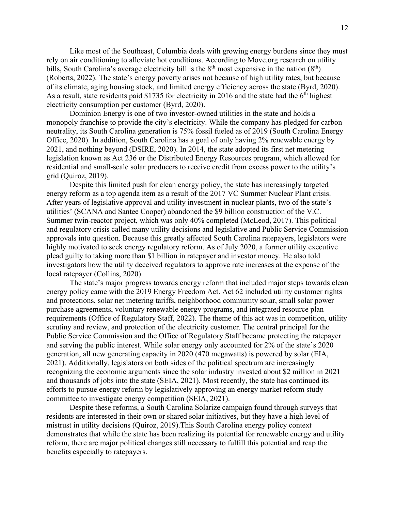Like most of the Southeast, Columbia deals with growing energy burdens since they must rely on air conditioning to alleviate hot conditions. According to Move.org research on utility bills, South Carolina's average electricity bill is the  $8<sup>th</sup>$  most expensive in the nation  $(8<sup>th</sup>)$ (Roberts, 2022). The state's energy poverty arises not because of high utility rates, but because of its climate, aging housing stock, and limited energy efficiency across the state (Byrd, 2020). As a result, state residents paid \$1735 for electricity in 2016 and the state had the 6th highest electricity consumption per customer (Byrd, 2020).

Dominion Energy is one of two investor-owned utilities in the state and holds a monopoly franchise to provide the city's electricity. While the company has pledged for carbon neutrality, its South Carolina generation is 75% fossil fueled as of 2019 (South Carolina Energy Office, 2020). In addition, South Carolina has a goal of only having 2% renewable energy by 2021, and nothing beyond (DSIRE, 2020). In 2014, the state adopted its first net metering legislation known as Act 236 or the Distributed Energy Resources program, which allowed for residential and small-scale solar producers to receive credit from excess power to the utility's grid (Quiroz, 2019).

Despite this limited push for clean energy policy, the state has increasingly targeted energy reform as a top agenda item as a result of the 2017 VC Summer Nuclear Plant crisis. After years of legislative approval and utility investment in nuclear plants, two of the state's utilities' (SCANA and Santee Cooper) abandoned the \$9 billion construction of the V.C. Summer twin-reactor project, which was only 40% completed (McLeod, 2017). This political and regulatory crisis called many utility decisions and legislative and Public Service Commission approvals into question. Because this greatly affected South Carolina ratepayers, legislators were highly motivated to seek energy regulatory reform. As of July 2020, a former utility executive plead guilty to taking more than \$1 billion in ratepayer and investor money. He also told investigators how the utility deceived regulators to approve rate increases at the expense of the local ratepayer (Collins, 2020)

The state's major progress towards energy reform that included major steps towards clean energy policy came with the 2019 Energy Freedom Act. Act 62 included utility customer rights and protections, solar net metering tariffs, neighborhood community solar, small solar power purchase agreements, voluntary renewable energy programs, and integrated resource plan requirements (Office of Regulatory Staff, 2022). The theme of this act was in competition, utility scrutiny and review, and protection of the electricity customer. The central principal for the Public Service Commission and the Office of Regulatory Staff became protecting the ratepayer and serving the public interest. While solar energy only accounted for 2% of the state's 2020 generation, all new generating capacity in 2020 (470 megawatts) is powered by solar (EIA, 2021). Additionally, legislators on both sides of the political spectrum are increasingly recognizing the economic arguments since the solar industry invested about \$2 million in 2021 and thousands of jobs into the state (SEIA, 2021). Most recently, the state has continued its efforts to pursue energy reform by legislatively approving an energy market reform study committee to investigate energy competition (SEIA, 2021).

Despite these reforms, a South Carolina Solarize campaign found through surveys that residents are interested in their own or shared solar initiatives, but they have a high level of mistrust in utility decisions (Quiroz, 2019).This South Carolina energy policy context demonstrates that while the state has been realizing its potential for renewable energy and utility reform, there are major political changes still necessary to fulfill this potential and reap the benefits especially to ratepayers.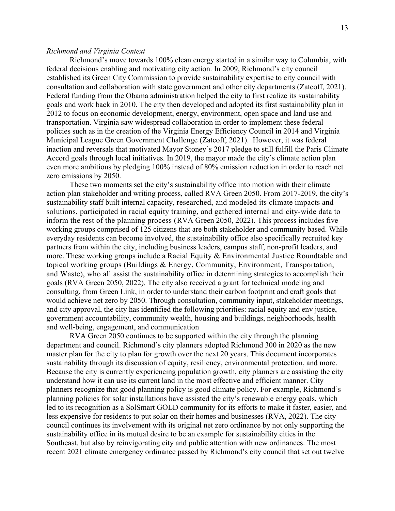#### *Richmond and Virginia Context*

Richmond's move towards 100% clean energy started in a similar way to Columbia, with federal decisions enabling and motivating city action. In 2009, Richmond's city council established its Green City Commission to provide sustainability expertise to city council with consultation and collaboration with state government and other city departments (Zatcoff, 2021). Federal funding from the Obama administration helped the city to first realize its sustainability goals and work back in 2010. The city then developed and adopted its first sustainability plan in 2012 to focus on economic development, energy, environment, open space and land use and transportation. Virginia saw widespread collaboration in order to implement these federal policies such as in the creation of the Virginia Energy Efficiency Council in 2014 and Virginia Municipal League Green Government Challenge (Zatcoff, 2021). However, it was federal inaction and reversals that motivated Mayor Stoney's 2017 pledge to still fulfill the Paris Climate Accord goals through local initiatives. In 2019, the mayor made the city's climate action plan even more ambitious by pledging 100% instead of 80% emission reduction in order to reach net zero emissions by 2050.

These two moments set the city's sustainability office into motion with their climate action plan stakeholder and writing process, called RVA Green 2050. From 2017-2019, the city's sustainability staff built internal capacity, researched, and modeled its climate impacts and solutions, participated in racial equity training, and gathered internal and city-wide data to inform the rest of the planning process (RVA Green 2050, 2022). This process includes five working groups comprised of 125 citizens that are both stakeholder and community based. While everyday residents can become involved, the sustainability office also specifically recruited key partners from within the city, including business leaders, campus staff, non-profit leaders, and more. These working groups include a Racial Equity & Environmental Justice Roundtable and topical working groups (Buildings & Energy, Community, Environment, Transportation, and Waste), who all assist the sustainability office in determining strategies to accomplish their goals (RVA Green 2050, 2022). The city also received a grant for technical modeling and consulting, from Green Link, in order to understand their carbon footprint and craft goals that would achieve net zero by 2050. Through consultation, community input, stakeholder meetings, and city approval, the city has identified the following priorities: racial equity and env justice, government accountability, community wealth, housing and buildings, neighborhoods, health and well-being, engagement, and communication

RVA Green 2050 continues to be supported within the city through the planning department and council. Richmond's city planners adopted Richmond 300 in 2020 as the new master plan for the city to plan for growth over the next 20 years. This document incorporates sustainability through its discussion of equity, resiliency, environmental protection, and more. Because the city is currently experiencing population growth, city planners are assisting the city understand how it can use its current land in the most effective and efficient manner. City planners recognize that good planning policy is good climate policy. For example, Richmond's planning policies for solar installations have assisted the city's renewable energy goals, which led to its recognition as a SolSmart GOLD community for its efforts to make it faster, easier, and less expensive for residents to put solar on their homes and businesses (RVA, 2022). The city council continues its involvement with its original net zero ordinance by not only supporting the sustainability office in its mutual desire to be an example for sustainability cities in the Southeast, but also by reinvigorating city and public attention with new ordinances. The most recent 2021 climate emergency ordinance passed by Richmond's city council that set out twelve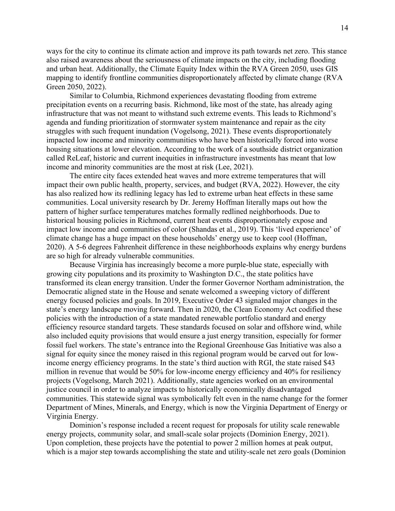ways for the city to continue its climate action and improve its path towards net zero. This stance also raised awareness about the seriousness of climate impacts on the city, including flooding and urban heat. Additionally, the Climate Equity Index within the RVA Green 2050, uses GIS mapping to identify frontline communities disproportionately affected by climate change (RVA Green 2050, 2022).

Similar to Columbia, Richmond experiences devastating flooding from extreme precipitation events on a recurring basis. Richmond, like most of the state, has already aging infrastructure that was not meant to withstand such extreme events. This leads to Richmond's agenda and funding prioritization of stormwater system maintenance and repair as the city struggles with such frequent inundation (Vogelsong, 2021). These events disproportionately impacted low income and minority communities who have been historically forced into worse housing situations at lower elevation. According to the work of a southside district organization called ReLeaf, historic and current inequities in infrastructure investments has meant that low income and minority communities are the most at risk (Lee, 2021).

The entire city faces extended heat waves and more extreme temperatures that will impact their own public health, property, services, and budget (RVA, 2022). However, the city has also realized how its redlining legacy has led to extreme urban heat effects in these same communities. Local university research by Dr. Jeremy Hoffman literally maps out how the pattern of higher surface temperatures matches formally redlined neighborhoods. Due to historical housing policies in Richmond, current heat events disproportionately expose and impact low income and communities of color (Shandas et al., 2019). This 'lived experience' of climate change has a huge impact on these households' energy use to keep cool (Hoffman, 2020). A 5-6 degrees Fahrenheit difference in these neighborhoods explains why energy burdens are so high for already vulnerable communities.

Because Virginia has increasingly become a more purple-blue state, especially with growing city populations and its proximity to Washington D.C., the state politics have transformed its clean energy transition. Under the former Governor Northam administration, the Democratic aligned state in the House and senate welcomed a sweeping victory of different energy focused policies and goals. In 2019, Executive Order 43 signaled major changes in the state's energy landscape moving forward. Then in 2020, the Clean Economy Act codified these policies with the introduction of a state mandated renewable portfolio standard and energy efficiency resource standard targets. These standards focused on solar and offshore wind, while also included equity provisions that would ensure a just energy transition, especially for former fossil fuel workers. The state's entrance into the Regional Greenhouse Gas Initiative was also a signal for equity since the money raised in this regional program would be carved out for lowincome energy efficiency programs. In the state's third auction with RGI, the state raised \$43 million in revenue that would be 50% for low-income energy efficiency and 40% for resiliency projects (Vogelsong, March 2021). Additionally, state agencies worked on an environmental justice council in order to analyze impacts to historically economically disadvantaged communities. This statewide signal was symbolically felt even in the name change for the former Department of Mines, Minerals, and Energy, which is now the Virginia Department of Energy or Virginia Energy.

Dominion's response included a recent request for proposals for utility scale renewable energy projects, community solar, and small-scale solar projects (Dominion Energy, 2021). Upon completion, these projects have the potential to power 2 million homes at peak output, which is a major step towards accomplishing the state and utility-scale net zero goals (Dominion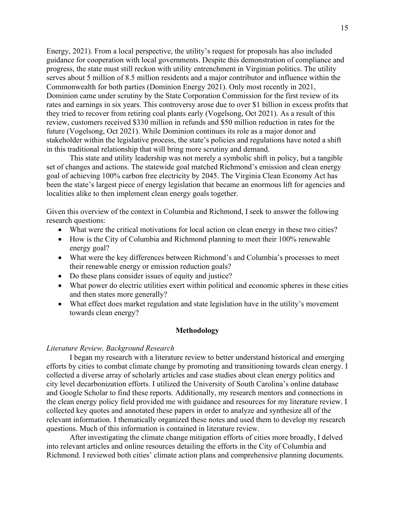Energy, 2021). From a local perspective, the utility's request for proposals has also included guidance for cooperation with local governments. Despite this demonstration of compliance and progress, the state must still reckon with utility entrenchment in Virginian politics. The utility serves about 5 million of 8.5 million residents and a major contributor and influence within the Commonwealth for both parties (Dominion Energy 2021). Only most recently in 2021, Dominion came under scrutiny by the State Corporation Commission for the first review of its rates and earnings in six years. This controversy arose due to over \$1 billion in excess profits that they tried to recover from retiring coal plants early (Vogelsong, Oct 2021). As a result of this review, customers received \$330 million in refunds and \$50 million reduction in rates for the future (Vogelsong, Oct 2021). While Dominion continues its role as a major donor and stakeholder within the legislative process, the state's policies and regulations have noted a shift in this traditional relationship that will bring more scrutiny and demand.

This state and utility leadership was not merely a symbolic shift in policy, but a tangible set of changes and actions. The statewide goal matched Richmond's emission and clean energy goal of achieving 100% carbon free electricity by 2045. The Virginia Clean Economy Act has been the state's largest piece of energy legislation that became an enormous lift for agencies and localities alike to then implement clean energy goals together.

Given this overview of the context in Columbia and Richmond, I seek to answer the following research questions:

- What were the critical motivations for local action on clean energy in these two cities?
- How is the City of Columbia and Richmond planning to meet their 100% renewable energy goal?
- What were the key differences between Richmond's and Columbia's processes to meet their renewable energy or emission reduction goals?
- Do these plans consider issues of equity and justice?
- What power do electric utilities exert within political and economic spheres in these cities and then states more generally?
- What effect does market regulation and state legislation have in the utility's movement towards clean energy?

# **Methodology**

# *Literature Review, Background Research*

I began my research with a literature review to better understand historical and emerging efforts by cities to combat climate change by promoting and transitioning towards clean energy. I collected a diverse array of scholarly articles and case studies about clean energy politics and city level decarbonization efforts. I utilized the University of South Carolina's online database and Google Scholar to find these reports. Additionally, my research mentors and connections in the clean energy policy field provided me with guidance and resources for my literature review. I collected key quotes and annotated these papers in order to analyze and synthesize all of the relevant information. I thematically organized these notes and used them to develop my research questions. Much of this information is contained in literature review.

After investigating the climate change mitigation efforts of cities more broadly, I delved into relevant articles and online resources detailing the efforts in the City of Columbia and Richmond. I reviewed both cities' climate action plans and comprehensive planning documents.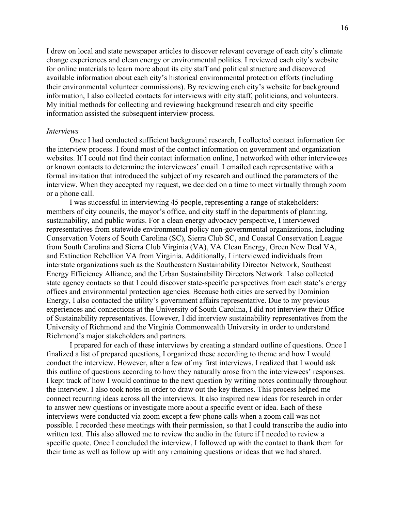I drew on local and state newspaper articles to discover relevant coverage of each city's climate change experiences and clean energy or environmental politics. I reviewed each city's website for online materials to learn more about its city staff and political structure and discovered available information about each city's historical environmental protection efforts (including their environmental volunteer commissions). By reviewing each city's website for background information, I also collected contacts for interviews with city staff, politicians, and volunteers. My initial methods for collecting and reviewing background research and city specific information assisted the subsequent interview process.

#### *Interviews*

Once I had conducted sufficient background research, I collected contact information for the interview process. I found most of the contact information on government and organization websites. If I could not find their contact information online, I networked with other interviewees or known contacts to determine the interviewees' email. I emailed each representative with a formal invitation that introduced the subject of my research and outlined the parameters of the interview. When they accepted my request, we decided on a time to meet virtually through zoom or a phone call.

I was successful in interviewing 45 people, representing a range of stakeholders: members of city councils, the mayor's office, and city staff in the departments of planning, sustainability, and public works. For a clean energy advocacy perspective, I interviewed representatives from statewide environmental policy non-governmental organizations, including Conservation Voters of South Carolina (SC), Sierra Club SC, and Coastal Conservation League from South Carolina and Sierra Club Virginia (VA), VA Clean Energy, Green New Deal VA, and Extinction Rebellion VA from Virginia. Additionally, I interviewed individuals from interstate organizations such as the Southeastern Sustainability Director Network, Southeast Energy Efficiency Alliance, and the Urban Sustainability Directors Network. I also collected state agency contacts so that I could discover state-specific perspectives from each state's energy offices and environmental protection agencies. Because both cities are served by Dominion Energy, I also contacted the utility's government affairs representative. Due to my previous experiences and connections at the University of South Carolina, I did not interview their Office of Sustainability representatives. However, I did interview sustainability representatives from the University of Richmond and the Virginia Commonwealth University in order to understand Richmond's major stakeholders and partners.

I prepared for each of these interviews by creating a standard outline of questions. Once I finalized a list of prepared questions, I organized these according to theme and how I would conduct the interview. However, after a few of my first interviews, I realized that I would ask this outline of questions according to how they naturally arose from the interviewees' responses. I kept track of how I would continue to the next question by writing notes continually throughout the interview. I also took notes in order to draw out the key themes. This process helped me connect recurring ideas across all the interviews. It also inspired new ideas for research in order to answer new questions or investigate more about a specific event or idea. Each of these interviews were conducted via zoom except a few phone calls when a zoom call was not possible. I recorded these meetings with their permission, so that I could transcribe the audio into written text. This also allowed me to review the audio in the future if I needed to review a specific quote. Once I concluded the interview, I followed up with the contact to thank them for their time as well as follow up with any remaining questions or ideas that we had shared.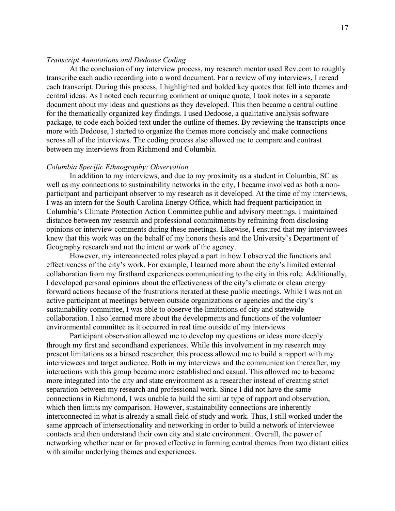# *Transcript Annotations and Dedoose Coding*

At the conclusion of my interview process, my research mentor used Rev.com to roughly transcribe each audio recording into a word document. For a review of my interviews, I reread each transcript. During this process, I highlighted and bolded key quotes that fell into themes and central ideas. As I noted each recurring comment or unique quote, I took notes in a separate document about my ideas and questions as they developed. This then became a central outline for the thematically organized key findings. I used Dedoose, a qualitative analysis software package, to code each bolded text under the outline of themes. By reviewing the transcripts once more with Dedoose, I started to organize the themes more concisely and make connections across all of the interviews. The coding process also allowed me to compare and contrast between my interviews from Richmond and Columbia.

# *Columbia Specific Ethnography: Observation*

In addition to my interviews, and due to my proximity as a student in Columbia, SC as well as my connections to sustainability networks in the city, I became involved as both a nonparticipant and participant observer to my research as it developed. At the time of my interviews, I was an intern for the South Carolina Energy Office, which had frequent participation in Columbia's Climate Protection Action Committee public and advisory meetings. I maintained distance between my research and professional commitments by refraining from disclosing opinions or interview comments during these meetings. Likewise, I ensured that my interviewees knew that this work was on the behalf of my honors thesis and the University's Department of Geography research and not the intent or work of the agency.

However, my interconnected roles played a part in how I observed the functions and effectiveness of the city's work. For example, I learned more about the city's limited external collaboration from my firsthand experiences communicating to the city in this role. Additionally, I developed personal opinions about the effectiveness of the city's climate or clean energy forward actions because of the frustrations iterated at these public meetings. While I was not an active participant at meetings between outside organizations or agencies and the city's sustainability committee, I was able to observe the limitations of city and statewide collaboration. I also learned more about the developments and functions of the volunteer environmental committee as it occurred in real time outside of my interviews.

Participant observation allowed me to develop my questions or ideas more deeply through my first and secondhand experiences. While this involvement in my research may present limitations as a biased researcher, this process allowed me to build a rapport with my interviewees and target audience. Both in my interviews and the communication thereafter, my interactions with this group became more established and casual. This allowed me to become more integrated into the city and state environment as a researcher instead of creating strict separation between my research and professional work. Since I did not have the same connections in Richmond, I was unable to build the similar type of rapport and observation, which then limits my comparison. However, sustainability connections are inherently interconnected in what is already a small field of study and work. Thus, I still worked under the same approach of intersectionality and networking in order to build a network of interviewee contacts and then understand their own city and state environment. Overall, the power of networking whether near or far proved effective in forming central themes from two distant cities with similar underlying themes and experiences.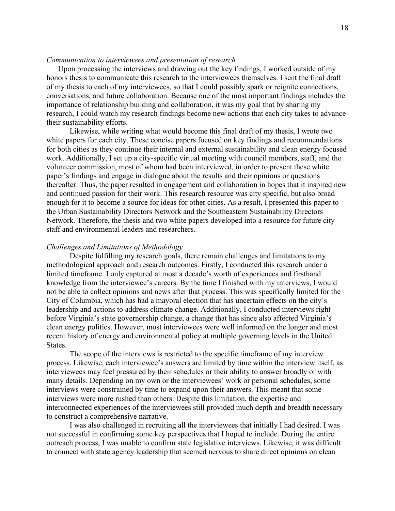# *Communication to interviewees and presentation of research*

Upon processing the interviews and drawing out the key findings, I worked outside of my honors thesis to communicate this research to the interviewees themselves. I sent the final draft of my thesis to each of my interviewees, so that I could possibly spark or reignite connections, conversations, and future collaboration. Because one of the most important findings includes the importance of relationship building and collaboration, it was my goal that by sharing my research, I could watch my research findings become new actions that each city takes to advance their sustainability efforts.

Likewise, while writing what would become this final draft of my thesis, I wrote two white papers for each city. These concise papers focused on key findings and recommendations for both cities as they continue their internal and external sustainability and clean energy focused work. Additionally, I set up a city-specific virtual meeting with council members, staff, and the volunteer commission, most of whom had been interviewed, in order to present these white paper's findings and engage in dialogue about the results and their opinions or questions thereafter. Thus, the paper resulted in engagement and collaboration in hopes that it inspired new and continued passion for their work. This research resource was city specific, but also broad enough for it to become a source for ideas for other cities. As a result, I presented this paper to the Urban Sustainability Directors Network and the Southeastern Sustainability Directors Network. Therefore, the thesis and two white papers developed into a resource for future city staff and environmental leaders and researchers.

#### *Challenges and Limitations of Methodology*

Despite fulfilling my research goals, there remain challenges and limitations to my methodological approach and research outcomes. Firstly, I conducted this research under a limited timeframe. I only captured at most a decade's worth of experiences and firsthand knowledge from the interviewee's careers. By the time I finished with my interviews, I would not be able to collect opinions and news after that process. This was specifically limited for the City of Columbia, which has had a mayoral election that has uncertain effects on the city's leadership and actions to address climate change. Additionally, I conducted interviews right before Virginia's state governorship change, a change that has since also affected Virginia's clean energy politics. However, most interviewees were well informed on the longer and most recent history of energy and environmental policy at multiple governing levels in the United States.

The scope of the interviews is restricted to the specific timeframe of my interview process. Likewise, each interviewee's answers are limited by time within the interview itself, as interviewees may feel pressured by their schedules or their ability to answer broadly or with many details. Depending on my own or the interviewees' work or personal schedules, some interviews were constrained by time to expand upon their answers. This meant that some interviews were more rushed than others. Despite this limitation, the expertise and interconnected experiences of the interviewees still provided much depth and breadth necessary to construct a comprehensive narrative.

I was also challenged in recruiting all the interviewees that initially I had desired. I was not successful in confirming some key perspectives that I hoped to include. During the entire outreach process, I was unable to confirm state legislative interviews. Likewise, it was difficult to connect with state agency leadership that seemed nervous to share direct opinions on clean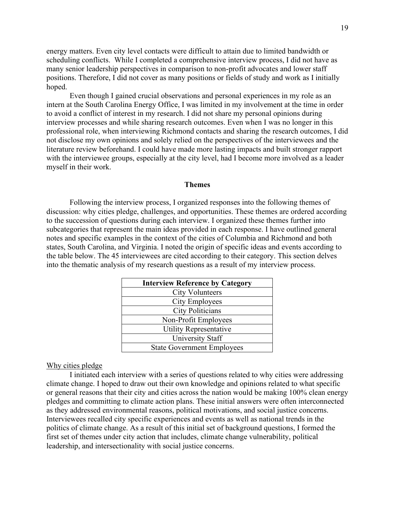energy matters. Even city level contacts were difficult to attain due to limited bandwidth or scheduling conflicts. While I completed a comprehensive interview process, I did not have as many senior leadership perspectives in comparison to non-profit advocates and lower staff positions. Therefore, I did not cover as many positions or fields of study and work as I initially hoped.

Even though I gained crucial observations and personal experiences in my role as an intern at the South Carolina Energy Office, I was limited in my involvement at the time in order to avoid a conflict of interest in my research. I did not share my personal opinions during interview processes and while sharing research outcomes. Even when I was no longer in this professional role, when interviewing Richmond contacts and sharing the research outcomes, I did not disclose my own opinions and solely relied on the perspectives of the interviewees and the literature review beforehand. I could have made more lasting impacts and built stronger rapport with the interviewee groups, especially at the city level, had I become more involved as a leader myself in their work.

#### **Themes**

Following the interview process, I organized responses into the following themes of discussion: why cities pledge, challenges, and opportunities. These themes are ordered according to the succession of questions during each interview. I organized these themes further into subcategories that represent the main ideas provided in each response. I have outlined general notes and specific examples in the context of the cities of Columbia and Richmond and both states, South Carolina, and Virginia. I noted the origin of specific ideas and events according to the table below. The 45 interviewees are cited according to their category. This section delves into the thematic analysis of my research questions as a result of my interview process.

| <b>Interview Reference by Category</b> |
|----------------------------------------|
| <b>City Volunteers</b>                 |
| City Employees                         |
| <b>City Politicians</b>                |
| Non-Profit Employees                   |
| Utility Representative                 |
| University Staff                       |
| <b>State Government Employees</b>      |

# Why cities pledge

I initiated each interview with a series of questions related to why cities were addressing climate change. I hoped to draw out their own knowledge and opinions related to what specific or general reasons that their city and cities across the nation would be making 100% clean energy pledges and committing to climate action plans. These initial answers were often interconnected as they addressed environmental reasons, political motivations, and social justice concerns. Interviewees recalled city specific experiences and events as well as national trends in the politics of climate change. As a result of this initial set of background questions, I formed the first set of themes under city action that includes, climate change vulnerability, political leadership, and intersectionality with social justice concerns.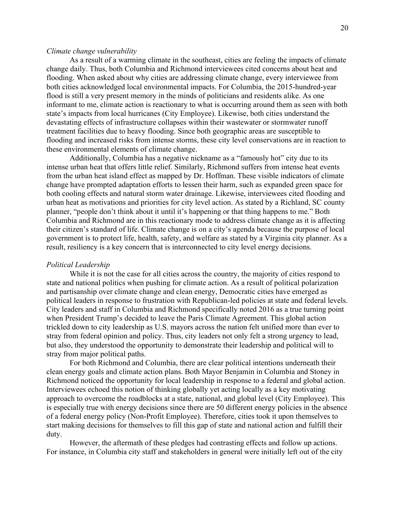#### *Climate change vulnerability*

As a result of a warming climate in the southeast, cities are feeling the impacts of climate change daily. Thus, both Columbia and Richmond interviewees cited concerns about heat and flooding. When asked about why cities are addressing climate change, every interviewee from both cities acknowledged local environmental impacts. For Columbia, the 2015-hundred-year flood is still a very present memory in the minds of politicians and residents alike. As one informant to me, climate action is reactionary to what is occurring around them as seen with both state's impacts from local hurricanes (City Employee). Likewise, both cities understand the devastating effects of infrastructure collapses within their wastewater or stormwater runoff treatment facilities due to heavy flooding. Since both geographic areas are susceptible to flooding and increased risks from intense storms, these city level conservations are in reaction to these environmental elements of climate change.

Additionally, Columbia has a negative nickname as a "famously hot" city due to its intense urban heat that offers little relief. Similarly, Richmond suffers from intense heat events from the urban heat island effect as mapped by Dr. Hoffman. These visible indicators of climate change have prompted adaptation efforts to lessen their harm, such as expanded green space for both cooling effects and natural storm water drainage. Likewise, interviewees cited flooding and urban heat as motivations and priorities for city level action. As stated by a Richland, SC county planner, "people don't think about it until it's happening or that thing happens to me." Both Columbia and Richmond are in this reactionary mode to address climate change as it is affecting their citizen's standard of life. Climate change is on a city's agenda because the purpose of local government is to protect life, health, safety, and welfare as stated by a Virginia city planner. As a result, resiliency is a key concern that is interconnected to city level energy decisions.

# *Political Leadership*

While it is not the case for all cities across the country, the majority of cities respond to state and national politics when pushing for climate action. As a result of political polarization and partisanship over climate change and clean energy, Democratic cities have emerged as political leaders in response to frustration with Republican-led policies at state and federal levels. City leaders and staff in Columbia and Richmond specifically noted 2016 as a true turning point when President Trump's decided to leave the Paris Climate Agreement. This global action trickled down to city leadership as U.S. mayors across the nation felt unified more than ever to stray from federal opinion and policy. Thus, city leaders not only felt a strong urgency to lead, but also, they understood the opportunity to demonstrate their leadership and political will to stray from major political paths.

For both Richmond and Columbia, there are clear political intentions underneath their clean energy goals and climate action plans. Both Mayor Benjamin in Columbia and Stoney in Richmond noticed the opportunity for local leadership in response to a federal and global action. Interviewees echoed this notion of thinking globally yet acting locally as a key motivating approach to overcome the roadblocks at a state, national, and global level (City Employee). This is especially true with energy decisions since there are 50 different energy policies in the absence of a federal energy policy (Non-Profit Employee). Therefore, cities took it upon themselves to start making decisions for themselves to fill this gap of state and national action and fulfill their duty.

However, the aftermath of these pledges had contrasting effects and follow up actions. For instance, in Columbia city staff and stakeholders in general were initially left out of the city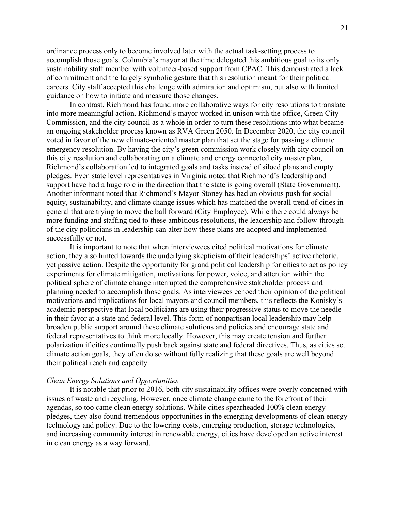ordinance process only to become involved later with the actual task-setting process to accomplish those goals. Columbia's mayor at the time delegated this ambitious goal to its only sustainability staff member with volunteer-based support from CPAC. This demonstrated a lack of commitment and the largely symbolic gesture that this resolution meant for their political careers. City staff accepted this challenge with admiration and optimism, but also with limited guidance on how to initiate and measure those changes.

In contrast, Richmond has found more collaborative ways for city resolutions to translate into more meaningful action. Richmond's mayor worked in unison with the office, Green City Commission, and the city council as a whole in order to turn these resolutions into what became an ongoing stakeholder process known as RVA Green 2050. In December 2020, the city council voted in favor of the new climate-oriented master plan that set the stage for passing a climate emergency resolution. By having the city's green commission work closely with city council on this city resolution and collaborating on a climate and energy connected city master plan, Richmond's collaboration led to integrated goals and tasks instead of siloed plans and empty pledges. Even state level representatives in Virginia noted that Richmond's leadership and support have had a huge role in the direction that the state is going overall (State Government). Another informant noted that Richmond's Mayor Stoney has had an obvious push for social equity, sustainability, and climate change issues which has matched the overall trend of cities in general that are trying to move the ball forward (City Employee). While there could always be more funding and staffing tied to these ambitious resolutions, the leadership and follow-through of the city politicians in leadership can alter how these plans are adopted and implemented successfully or not.

It is important to note that when interviewees cited political motivations for climate action, they also hinted towards the underlying skepticism of their leaderships' active rhetoric, yet passive action. Despite the opportunity for grand political leadership for cities to act as policy experiments for climate mitigation, motivations for power, voice, and attention within the political sphere of climate change interrupted the comprehensive stakeholder process and planning needed to accomplish those goals. As interviewees echoed their opinion of the political motivations and implications for local mayors and council members, this reflects the Konisky's academic perspective that local politicians are using their progressive status to move the needle in their favor at a state and federal level. This form of nonpartisan local leadership may help broaden public support around these climate solutions and policies and encourage state and federal representatives to think more locally. However, this may create tension and further polarization if cities continually push back against state and federal directives. Thus, as cities set climate action goals, they often do so without fully realizing that these goals are well beyond their political reach and capacity.

# *Clean Energy Solutions and Opportunities*

It is notable that prior to 2016, both city sustainability offices were overly concerned with issues of waste and recycling. However, once climate change came to the forefront of their agendas, so too came clean energy solutions. While cities spearheaded 100% clean energy pledges, they also found tremendous opportunities in the emerging developments of clean energy technology and policy. Due to the lowering costs, emerging production, storage technologies, and increasing community interest in renewable energy, cities have developed an active interest in clean energy as a way forward.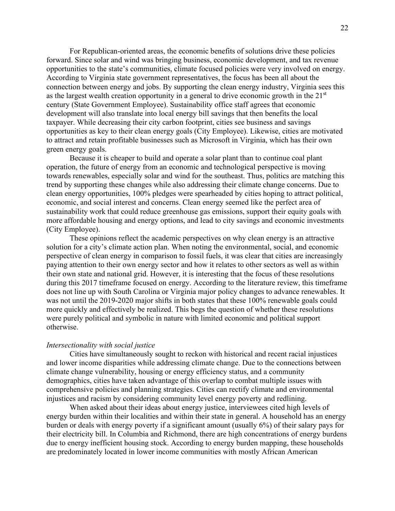For Republican-oriented areas, the economic benefits of solutions drive these policies forward. Since solar and wind was bringing business, economic development, and tax revenue opportunities to the state's communities, climate focused policies were very involved on energy. According to Virginia state government representatives, the focus has been all about the connection between energy and jobs. By supporting the clean energy industry, Virginia sees this as the largest wealth creation opportunity in a general to drive economic growth in the 21<sup>st</sup> century (State Government Employee). Sustainability office staff agrees that economic development will also translate into local energy bill savings that then benefits the local taxpayer. While decreasing their city carbon footprint, cities see business and savings opportunities as key to their clean energy goals (City Employee). Likewise, cities are motivated to attract and retain profitable businesses such as Microsoft in Virginia, which has their own green energy goals.

Because it is cheaper to build and operate a solar plant than to continue coal plant operation, the future of energy from an economic and technological perspective is moving towards renewables, especially solar and wind for the southeast. Thus, politics are matching this trend by supporting these changes while also addressing their climate change concerns. Due to clean energy opportunities, 100% pledges were spearheaded by cities hoping to attract political, economic, and social interest and concerns. Clean energy seemed like the perfect area of sustainability work that could reduce greenhouse gas emissions, support their equity goals with more affordable housing and energy options, and lead to city savings and economic investments (City Employee).

These opinions reflect the academic perspectives on why clean energy is an attractive solution for a city's climate action plan. When noting the environmental, social, and economic perspective of clean energy in comparison to fossil fuels, it was clear that cities are increasingly paying attention to their own energy sector and how it relates to other sectors as well as within their own state and national grid. However, it is interesting that the focus of these resolutions during this 2017 timeframe focused on energy. According to the literature review, this timeframe does not line up with South Carolina or Virginia major policy changes to advance renewables. It was not until the 2019-2020 major shifts in both states that these 100% renewable goals could more quickly and effectively be realized. This begs the question of whether these resolutions were purely political and symbolic in nature with limited economic and political support otherwise.

# *Intersectionality with social justice*

Cities have simultaneously sought to reckon with historical and recent racial injustices and lower income disparities while addressing climate change. Due to the connections between climate change vulnerability, housing or energy efficiency status, and a community demographics, cities have taken advantage of this overlap to combat multiple issues with comprehensive policies and planning strategies. Cities can rectify climate and environmental injustices and racism by considering community level energy poverty and redlining.

When asked about their ideas about energy justice, interviewees cited high levels of energy burden within their localities and within their state in general. A household has an energy burden or deals with energy poverty if a significant amount (usually 6%) of their salary pays for their electricity bill. In Columbia and Richmond, there are high concentrations of energy burdens due to energy inefficient housing stock. According to energy burden mapping, these households are predominately located in lower income communities with mostly African American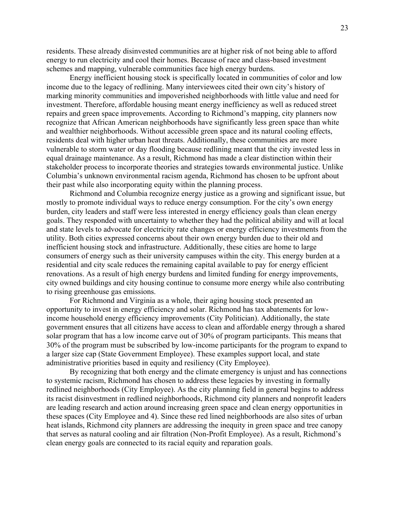residents. These already disinvested communities are at higher risk of not being able to afford energy to run electricity and cool their homes. Because of race and class-based investment schemes and mapping, vulnerable communities face high energy burdens.

Energy inefficient housing stock is specifically located in communities of color and low income due to the legacy of redlining. Many interviewees cited their own city's history of marking minority communities and impoverished neighborhoods with little value and need for investment. Therefore, affordable housing meant energy inefficiency as well as reduced street repairs and green space improvements. According to Richmond's mapping, city planners now recognize that African American neighborhoods have significantly less green space than white and wealthier neighborhoods. Without accessible green space and its natural cooling effects, residents deal with higher urban heat threats. Additionally, these communities are more vulnerable to storm water or day flooding because redlining meant that the city invested less in equal drainage maintenance. As a result, Richmond has made a clear distinction within their stakeholder process to incorporate theories and strategies towards environmental justice. Unlike Columbia's unknown environmental racism agenda, Richmond has chosen to be upfront about their past while also incorporating equity within the planning process.

Richmond and Columbia recognize energy justice as a growing and significant issue, but mostly to promote individual ways to reduce energy consumption. For the city's own energy burden, city leaders and staff were less interested in energy efficiency goals than clean energy goals. They responded with uncertainty to whether they had the political ability and will at local and state levels to advocate for electricity rate changes or energy efficiency investments from the utility. Both cities expressed concerns about their own energy burden due to their old and inefficient housing stock and infrastructure. Additionally, these cities are home to large consumers of energy such as their university campuses within the city. This energy burden at a residential and city scale reduces the remaining capital available to pay for energy efficient renovations. As a result of high energy burdens and limited funding for energy improvements, city owned buildings and city housing continue to consume more energy while also contributing to rising greenhouse gas emissions.

For Richmond and Virginia as a whole, their aging housing stock presented an opportunity to invest in energy efficiency and solar. Richmond has tax abatements for lowincome household energy efficiency improvements (City Politician). Additionally, the state government ensures that all citizens have access to clean and affordable energy through a shared solar program that has a low income carve out of 30% of program participants. This means that 30% of the program must be subscribed by low-income participants for the program to expand to a larger size cap (State Government Employee). These examples support local, and state administrative priorities based in equity and resiliency (City Employee).

By recognizing that both energy and the climate emergency is unjust and has connections to systemic racism, Richmond has chosen to address these legacies by investing in formally redlined neighborhoods (City Employee). As the city planning field in general begins to address its racist disinvestment in redlined neighborhoods, Richmond city planners and nonprofit leaders are leading research and action around increasing green space and clean energy opportunities in these spaces (City Employee and 4). Since these red lined neighborhoods are also sites of urban heat islands, Richmond city planners are addressing the inequity in green space and tree canopy that serves as natural cooling and air filtration (Non-Profit Employee). As a result, Richmond's clean energy goals are connected to its racial equity and reparation goals.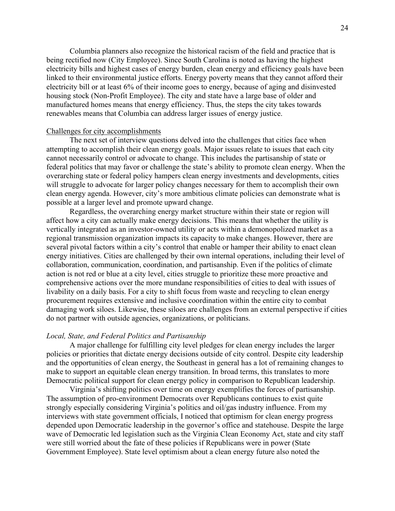Columbia planners also recognize the historical racism of the field and practice that is being rectified now (City Employee). Since South Carolina is noted as having the highest electricity bills and highest cases of energy burden, clean energy and efficiency goals have been linked to their environmental justice efforts. Energy poverty means that they cannot afford their electricity bill or at least 6% of their income goes to energy, because of aging and disinvested housing stock (Non-Profit Employee). The city and state have a large base of older and manufactured homes means that energy efficiency. Thus, the steps the city takes towards renewables means that Columbia can address larger issues of energy justice.

# Challenges for city accomplishments

The next set of interview questions delved into the challenges that cities face when attempting to accomplish their clean energy goals. Major issues relate to issues that each city cannot necessarily control or advocate to change. This includes the partisanship of state or federal politics that may favor or challenge the state's ability to promote clean energy. When the overarching state or federal policy hampers clean energy investments and developments, cities will struggle to advocate for larger policy changes necessary for them to accomplish their own clean energy agenda. However, city's more ambitious climate policies can demonstrate what is possible at a larger level and promote upward change.

Regardless, the overarching energy market structure within their state or region will affect how a city can actually make energy decisions. This means that whether the utility is vertically integrated as an investor-owned utility or acts within a demonopolized market as a regional transmission organization impacts its capacity to make changes. However, there are several pivotal factors within a city's control that enable or hamper their ability to enact clean energy initiatives. Cities are challenged by their own internal operations, including their level of collaboration, communication, coordination, and partisanship. Even if the politics of climate action is not red or blue at a city level, cities struggle to prioritize these more proactive and comprehensive actions over the more mundane responsibilities of cities to deal with issues of livability on a daily basis. For a city to shift focus from waste and recycling to clean energy procurement requires extensive and inclusive coordination within the entire city to combat damaging work siloes. Likewise, these siloes are challenges from an external perspective if cities do not partner with outside agencies, organizations, or politicians.

# *Local, State, and Federal Politics and Partisanship*

A major challenge for fulfilling city level pledges for clean energy includes the larger policies or priorities that dictate energy decisions outside of city control. Despite city leadership and the opportunities of clean energy, the Southeast in general has a lot of remaining changes to make to support an equitable clean energy transition. In broad terms, this translates to more Democratic political support for clean energy policy in comparison to Republican leadership.

Virginia's shifting politics over time on energy exemplifies the forces of partisanship. The assumption of pro-environment Democrats over Republicans continues to exist quite strongly especially considering Virginia's politics and oil/gas industry influence. From my interviews with state government officials, I noticed that optimism for clean energy progress depended upon Democratic leadership in the governor's office and statehouse. Despite the large wave of Democratic led legislation such as the Virginia Clean Economy Act, state and city staff were still worried about the fate of these policies if Republicans were in power (State Government Employee). State level optimism about a clean energy future also noted the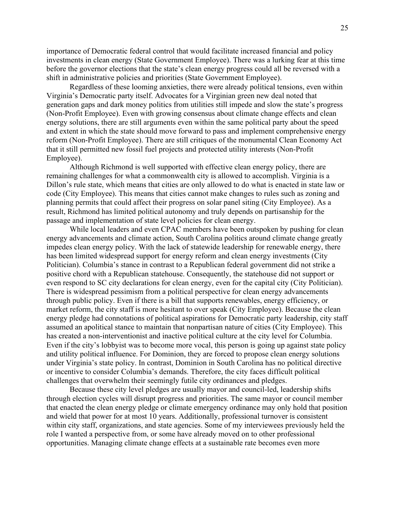importance of Democratic federal control that would facilitate increased financial and policy investments in clean energy (State Government Employee). There was a lurking fear at this time before the governor elections that the state's clean energy progress could all be reversed with a shift in administrative policies and priorities (State Government Employee).

Regardless of these looming anxieties, there were already political tensions, even within Virginia's Democratic party itself. Advocates for a Virginian green new deal noted that generation gaps and dark money politics from utilities still impede and slow the state's progress (Non-Profit Employee). Even with growing consensus about climate change effects and clean energy solutions, there are still arguments even within the same political party about the speed and extent in which the state should move forward to pass and implement comprehensive energy reform (Non-Profit Employee). There are still critiques of the monumental Clean Economy Act that it still permitted new fossil fuel projects and protected utility interests (Non-Profit Employee).

Although Richmond is well supported with effective clean energy policy, there are remaining challenges for what a commonwealth city is allowed to accomplish. Virginia is a Dillon's rule state, which means that cities are only allowed to do what is enacted in state law or code (City Employee). This means that cities cannot make changes to rules such as zoning and planning permits that could affect their progress on solar panel siting (City Employee). As a result, Richmond has limited political autonomy and truly depends on partisanship for the passage and implementation of state level policies for clean energy.

While local leaders and even CPAC members have been outspoken by pushing for clean energy advancements and climate action, South Carolina politics around climate change greatly impedes clean energy policy. With the lack of statewide leadership for renewable energy, there has been limited widespread support for energy reform and clean energy investments (City Politician). Columbia's stance in contrast to a Republican federal government did not strike a positive chord with a Republican statehouse. Consequently, the statehouse did not support or even respond to SC city declarations for clean energy, even for the capital city (City Politician). There is widespread pessimism from a political perspective for clean energy advancements through public policy. Even if there is a bill that supports renewables, energy efficiency, or market reform, the city staff is more hesitant to over speak (City Employee). Because the clean energy pledge had connotations of political aspirations for Democratic party leadership, city staff assumed an apolitical stance to maintain that nonpartisan nature of cities (City Employee). This has created a non-interventionist and inactive political culture at the city level for Columbia. Even if the city's lobbyist was to become more vocal, this person is going up against state policy and utility political influence. For Dominion, they are forced to propose clean energy solutions under Virginia's state policy. In contrast, Dominion in South Carolina has no political directive or incentive to consider Columbia's demands. Therefore, the city faces difficult political challenges that overwhelm their seemingly futile city ordinances and pledges.

Because these city level pledges are usually mayor and council-led, leadership shifts through election cycles will disrupt progress and priorities. The same mayor or council member that enacted the clean energy pledge or climate emergency ordinance may only hold that position and wield that power for at most 10 years. Additionally, professional turnover is consistent within city staff, organizations, and state agencies. Some of my interviewees previously held the role I wanted a perspective from, or some have already moved on to other professional opportunities. Managing climate change effects at a sustainable rate becomes even more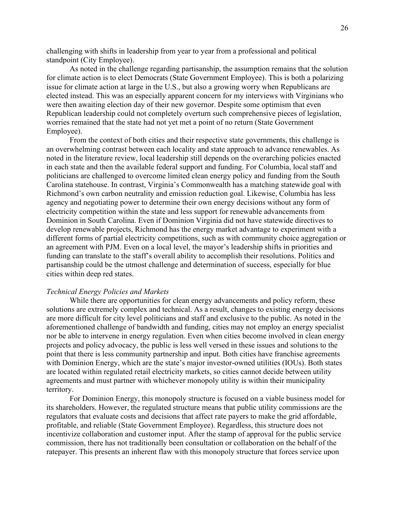challenging with shifts in leadership from year to year from a professional and political standpoint (City Employee).

As noted in the challenge regarding partisanship, the assumption remains that the solution for climate action is to elect Democrats (State Government Employee). This is both a polarizing issue for climate action at large in the U.S., but also a growing worry when Republicans are elected instead. This was an especially apparent concern for my interviews with Virginians who were then awaiting election day of their new governor. Despite some optimism that even Republican leadership could not completely overturn such comprehensive pieces of legislation, worries remained that the state had not yet met a point of no return (State Government Employee).

From the context of both cities and their respective state governments, this challenge is an overwhelming contrast between each locality and state approach to advance renewables. As noted in the literature review, local leadership still depends on the overarching policies enacted in each state and then the available federal support and funding. For Columbia, local staff and politicians are challenged to overcome limited clean energy policy and funding from the South Carolina statehouse. In contrast, Virginia's Commonwealth has a matching statewide goal with Richmond's own carbon neutrality and emission reduction goal. Likewise, Columbia has less agency and negotiating power to determine their own energy decisions without any form of electricity competition within the state and less support for renewable advancements from Dominion in South Carolina. Even if Dominion Virginia did not have statewide directives to develop renewable projects, Richmond has the energy market advantage to experiment with a different forms of partial electricity competitions, such as with community choice aggregation or an agreement with PJM. Even on a local level, the mayor's leadership shifts in priorities and funding can translate to the staff's overall ability to accomplish their resolutions. Politics and partisanship could be the utmost challenge and determination of success, especially for blue cities within deep red states.

### *Technical Energy Policies and Markets*

While there are opportunities for clean energy advancements and policy reform, these solutions are extremely complex and technical. As a result, changes to existing energy decisions are more difficult for city level politicians and staff and exclusive to the public. As noted in the aforementioned challenge of bandwidth and funding, cities may not employ an energy specialist nor be able to intervene in energy regulation. Even when cities become involved in clean energy projects and policy advocacy, the public is less well versed in these issues and solutions to the point that there is less community partnership and input. Both cities have franchise agreements with Dominion Energy, which are the state's major investor-owned utilities (IOUs). Both states are located within regulated retail electricity markets, so cities cannot decide between utility agreements and must partner with whichever monopoly utility is within their municipality territory.

For Dominion Energy, this monopoly structure is focused on a viable business model for its shareholders. However, the regulated structure means that public utility commissions are the regulators that evaluate costs and decisions that affect rate payers to make the grid affordable, profitable, and reliable (State Government Employee). Regardless, this structure does not incentivize collaboration and customer input. After the stamp of approval for the public service commission, there has not traditionally been consultation or collaboration on the behalf of the ratepayer. This presents an inherent flaw with this monopoly structure that forces service upon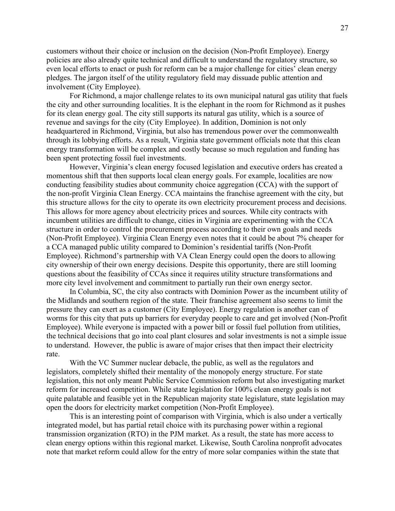customers without their choice or inclusion on the decision (Non-Profit Employee). Energy policies are also already quite technical and difficult to understand the regulatory structure, so even local efforts to enact or push for reform can be a major challenge for cities' clean energy pledges. The jargon itself of the utility regulatory field may dissuade public attention and involvement (City Employee).

For Richmond, a major challenge relates to its own municipal natural gas utility that fuels the city and other surrounding localities. It is the elephant in the room for Richmond as it pushes for its clean energy goal. The city still supports its natural gas utility, which is a source of revenue and savings for the city (City Employee). In addition, Dominion is not only headquartered in Richmond, Virginia, but also has tremendous power over the commonwealth through its lobbying efforts. As a result, Virginia state government officials note that this clean energy transformation will be complex and costly because so much regulation and funding has been spent protecting fossil fuel investments.

However, Virginia's clean energy focused legislation and executive orders has created a momentous shift that then supports local clean energy goals. For example, localities are now conducting feasibility studies about community choice aggregation (CCA) with the support of the non-profit Virginia Clean Energy. CCA maintains the franchise agreement with the city, but this structure allows for the city to operate its own electricity procurement process and decisions. This allows for more agency about electricity prices and sources. While city contracts with incumbent utilities are difficult to change, cities in Virginia are experimenting with the CCA structure in order to control the procurement process according to their own goals and needs (Non-Profit Employee). Virginia Clean Energy even notes that it could be about 7% cheaper for a CCA managed public utility compared to Dominion's residential tariffs (Non-Profit Employee). Richmond's partnership with VA Clean Energy could open the doors to allowing city ownership of their own energy decisions. Despite this opportunity, there are still looming questions about the feasibility of CCAs since it requires utility structure transformations and more city level involvement and commitment to partially run their own energy sector.

In Columbia, SC, the city also contracts with Dominion Power as the incumbent utility of the Midlands and southern region of the state. Their franchise agreement also seems to limit the pressure they can exert as a customer (City Employee). Energy regulation is another can of worms for this city that puts up barriers for everyday people to care and get involved (Non-Profit Employee). While everyone is impacted with a power bill or fossil fuel pollution from utilities, the technical decisions that go into coal plant closures and solar investments is not a simple issue to understand. However, the public is aware of major crises that then impact their electricity rate.

With the VC Summer nuclear debacle, the public, as well as the regulators and legislators, completely shifted their mentality of the monopoly energy structure. For state legislation, this not only meant Public Service Commission reform but also investigating market reform for increased competition. While state legislation for 100% clean energy goals is not quite palatable and feasible yet in the Republican majority state legislature, state legislation may open the doors for electricity market competition (Non-Profit Employee).

This is an interesting point of comparison with Virginia, which is also under a vertically integrated model, but has partial retail choice with its purchasing power within a regional transmission organization (RTO) in the PJM market. As a result, the state has more access to clean energy options within this regional market. Likewise, South Carolina nonprofit advocates note that market reform could allow for the entry of more solar companies within the state that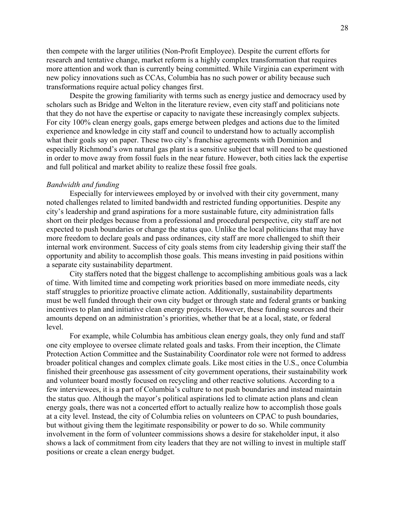then compete with the larger utilities (Non-Profit Employee). Despite the current efforts for research and tentative change, market reform is a highly complex transformation that requires more attention and work than is currently being committed. While Virginia can experiment with new policy innovations such as CCAs, Columbia has no such power or ability because such transformations require actual policy changes first.

Despite the growing familiarity with terms such as energy justice and democracy used by scholars such as Bridge and Welton in the literature review, even city staff and politicians note that they do not have the expertise or capacity to navigate these increasingly complex subjects. For city 100% clean energy goals, gaps emerge between pledges and actions due to the limited experience and knowledge in city staff and council to understand how to actually accomplish what their goals say on paper. These two city's franchise agreements with Dominion and especially Richmond's own natural gas plant is a sensitive subject that will need to be questioned in order to move away from fossil fuels in the near future. However, both cities lack the expertise and full political and market ability to realize these fossil free goals.

# *Bandwidth and funding*

Especially for interviewees employed by or involved with their city government, many noted challenges related to limited bandwidth and restricted funding opportunities. Despite any city's leadership and grand aspirations for a more sustainable future, city administration falls short on their pledges because from a professional and procedural perspective, city staff are not expected to push boundaries or change the status quo. Unlike the local politicians that may have more freedom to declare goals and pass ordinances, city staff are more challenged to shift their internal work environment. Success of city goals stems from city leadership giving their staff the opportunity and ability to accomplish those goals. This means investing in paid positions within a separate city sustainability department.

City staffers noted that the biggest challenge to accomplishing ambitious goals was a lack of time. With limited time and competing work priorities based on more immediate needs, city staff struggles to prioritize proactive climate action. Additionally, sustainability departments must be well funded through their own city budget or through state and federal grants or banking incentives to plan and initiative clean energy projects. However, these funding sources and their amounts depend on an administration's priorities, whether that be at a local, state, or federal level.

For example, while Columbia has ambitious clean energy goals, they only fund and staff one city employee to oversee climate related goals and tasks. From their inception, the Climate Protection Action Committee and the Sustainability Coordinator role were not formed to address broader political changes and complex climate goals. Like most cities in the U.S., once Columbia finished their greenhouse gas assessment of city government operations, their sustainability work and volunteer board mostly focused on recycling and other reactive solutions. According to a few interviewees, it is a part of Columbia's culture to not push boundaries and instead maintain the status quo. Although the mayor's political aspirations led to climate action plans and clean energy goals, there was not a concerted effort to actually realize how to accomplish those goals at a city level. Instead, the city of Columbia relies on volunteers on CPAC to push boundaries, but without giving them the legitimate responsibility or power to do so. While community involvement in the form of volunteer commissions shows a desire for stakeholder input, it also shows a lack of commitment from city leaders that they are not willing to invest in multiple staff positions or create a clean energy budget.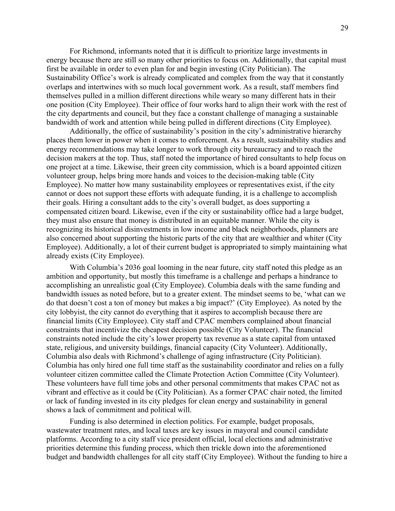For Richmond, informants noted that it is difficult to prioritize large investments in energy because there are still so many other priorities to focus on. Additionally, that capital must first be available in order to even plan for and begin investing (City Politician). The Sustainability Office's work is already complicated and complex from the way that it constantly overlaps and intertwines with so much local government work. As a result, staff members find themselves pulled in a million different directions while weary so many different hats in their one position (City Employee). Their office of four works hard to align their work with the rest of the city departments and council, but they face a constant challenge of managing a sustainable bandwidth of work and attention while being pulled in different directions (City Employee).

Additionally, the office of sustainability's position in the city's administrative hierarchy places them lower in power when it comes to enforcement. As a result, sustainability studies and energy recommendations may take longer to work through city bureaucracy and to reach the decision makers at the top. Thus, staff noted the importance of hired consultants to help focus on one project at a time. Likewise, their green city commission, which is a board appointed citizen volunteer group, helps bring more hands and voices to the decision-making table (City Employee). No matter how many sustainability employees or representatives exist, if the city cannot or does not support these efforts with adequate funding, it is a challenge to accomplish their goals. Hiring a consultant adds to the city's overall budget, as does supporting a compensated citizen board. Likewise, even if the city or sustainability office had a large budget, they must also ensure that money is distributed in an equitable manner. While the city is recognizing its historical disinvestments in low income and black neighborhoods, planners are also concerned about supporting the historic parts of the city that are wealthier and whiter (City Employee). Additionally, a lot of their current budget is appropriated to simply maintaining what already exists (City Employee).

With Columbia's 2036 goal looming in the near future, city staff noted this pledge as an ambition and opportunity, but mostly this timeframe is a challenge and perhaps a hindrance to accomplishing an unrealistic goal (City Employee). Columbia deals with the same funding and bandwidth issues as noted before, but to a greater extent. The mindset seems to be, 'what can we do that doesn't cost a ton of money but makes a big impact?' (City Employee). As noted by the city lobbyist, the city cannot do everything that it aspires to accomplish because there are financial limits (City Employee). City staff and CPAC members complained about financial constraints that incentivize the cheapest decision possible (City Volunteer). The financial constraints noted include the city's lower property tax revenue as a state capital from untaxed state, religious, and university buildings, financial capacity (City Volunteer). Additionally, Columbia also deals with Richmond's challenge of aging infrastructure (City Politician). Columbia has only hired one full time staff as the sustainability coordinator and relies on a fully volunteer citizen committee called the Climate Protection Action Committee (City Volunteer). These volunteers have full time jobs and other personal commitments that makes CPAC not as vibrant and effective as it could be (City Politician). As a former CPAC chair noted, the limited or lack of funding invested in its city pledges for clean energy and sustainability in general shows a lack of commitment and political will.

Funding is also determined in election politics. For example, budget proposals, wastewater treatment rates, and local taxes are key issues in mayoral and council candidate platforms. According to a city staff vice president official, local elections and administrative priorities determine this funding process, which then trickle down into the aforementioned budget and bandwidth challenges for all city staff (City Employee). Without the funding to hire a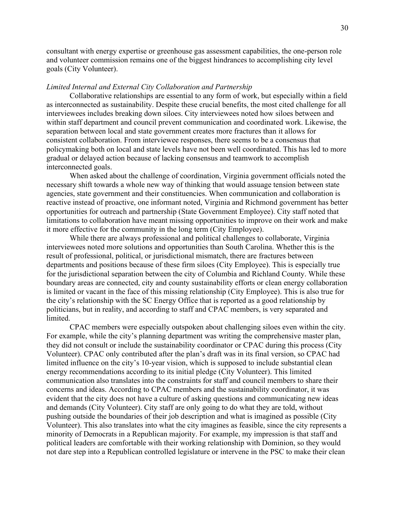consultant with energy expertise or greenhouse gas assessment capabilities, the one-person role and volunteer commission remains one of the biggest hindrances to accomplishing city level goals (City Volunteer).

# *Limited Internal and External City Collaboration and Partnership*

Collaborative relationships are essential to any form of work, but especially within a field as interconnected as sustainability. Despite these crucial benefits, the most cited challenge for all interviewees includes breaking down siloes. City interviewees noted how siloes between and within staff department and council prevent communication and coordinated work. Likewise, the separation between local and state government creates more fractures than it allows for consistent collaboration. From interviewee responses, there seems to be a consensus that policymaking both on local and state levels have not been well coordinated. This has led to more gradual or delayed action because of lacking consensus and teamwork to accomplish interconnected goals.

When asked about the challenge of coordination, Virginia government officials noted the necessary shift towards a whole new way of thinking that would assuage tension between state agencies, state government and their constituencies. When communication and collaboration is reactive instead of proactive, one informant noted, Virginia and Richmond government has better opportunities for outreach and partnership (State Government Employee). City staff noted that limitations to collaboration have meant missing opportunities to improve on their work and make it more effective for the community in the long term (City Employee).

While there are always professional and political challenges to collaborate, Virginia interviewees noted more solutions and opportunities than South Carolina. Whether this is the result of professional, political, or jurisdictional mismatch, there are fractures between departments and positions because of these firm siloes (City Employee). This is especially true for the jurisdictional separation between the city of Columbia and Richland County. While these boundary areas are connected, city and county sustainability efforts or clean energy collaboration is limited or vacant in the face of this missing relationship (City Employee). This is also true for the city's relationship with the SC Energy Office that is reported as a good relationship by politicians, but in reality, and according to staff and CPAC members, is very separated and limited.

CPAC members were especially outspoken about challenging siloes even within the city. For example, while the city's planning department was writing the comprehensive master plan, they did not consult or include the sustainability coordinator or CPAC during this process (City Volunteer). CPAC only contributed after the plan's draft was in its final version, so CPAC had limited influence on the city's 10-year vision, which is supposed to include substantial clean energy recommendations according to its initial pledge (City Volunteer). This limited communication also translates into the constraints for staff and council members to share their concerns and ideas. According to CPAC members and the sustainability coordinator, it was evident that the city does not have a culture of asking questions and communicating new ideas and demands (City Volunteer). City staff are only going to do what they are told, without pushing outside the boundaries of their job description and what is imagined as possible (City Volunteer). This also translates into what the city imagines as feasible, since the city represents a minority of Democrats in a Republican majority. For example, my impression is that staff and political leaders are comfortable with their working relationship with Dominion, so they would not dare step into a Republican controlled legislature or intervene in the PSC to make their clean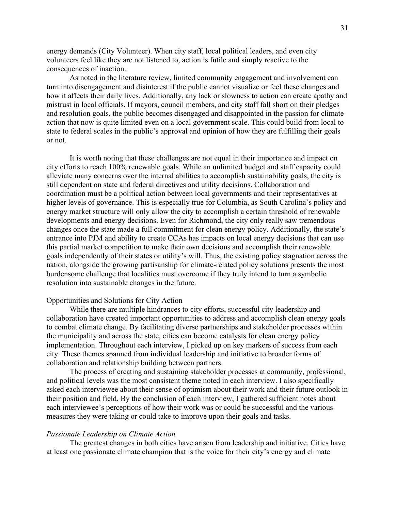energy demands (City Volunteer). When city staff, local political leaders, and even city volunteers feel like they are not listened to, action is futile and simply reactive to the consequences of inaction.

As noted in the literature review, limited community engagement and involvement can turn into disengagement and disinterest if the public cannot visualize or feel these changes and how it affects their daily lives. Additionally, any lack or slowness to action can create apathy and mistrust in local officials. If mayors, council members, and city staff fall short on their pledges and resolution goals, the public becomes disengaged and disappointed in the passion for climate action that now is quite limited even on a local government scale. This could build from local to state to federal scales in the public's approval and opinion of how they are fulfilling their goals or not.

It is worth noting that these challenges are not equal in their importance and impact on city efforts to reach 100% renewable goals. While an unlimited budget and staff capacity could alleviate many concerns over the internal abilities to accomplish sustainability goals, the city is still dependent on state and federal directives and utility decisions. Collaboration and coordination must be a political action between local governments and their representatives at higher levels of governance. This is especially true for Columbia, as South Carolina's policy and energy market structure will only allow the city to accomplish a certain threshold of renewable developments and energy decisions. Even for Richmond, the city only really saw tremendous changes once the state made a full commitment for clean energy policy. Additionally, the state's entrance into PJM and ability to create CCAs has impacts on local energy decisions that can use this partial market competition to make their own decisions and accomplish their renewable goals independently of their states or utility's will. Thus, the existing policy stagnation across the nation, alongside the growing partisanship for climate-related policy solutions presents the most burdensome challenge that localities must overcome if they truly intend to turn a symbolic resolution into sustainable changes in the future.

#### Opportunities and Solutions for City Action

While there are multiple hindrances to city efforts, successful city leadership and collaboration have created important opportunities to address and accomplish clean energy goals to combat climate change. By facilitating diverse partnerships and stakeholder processes within the municipality and across the state, cities can become catalysts for clean energy policy implementation. Throughout each interview, I picked up on key markers of success from each city. These themes spanned from individual leadership and initiative to broader forms of collaboration and relationship building between partners.

The process of creating and sustaining stakeholder processes at community, professional, and political levels was the most consistent theme noted in each interview. I also specifically asked each interviewee about their sense of optimism about their work and their future outlook in their position and field. By the conclusion of each interview, I gathered sufficient notes about each interviewee's perceptions of how their work was or could be successful and the various measures they were taking or could take to improve upon their goals and tasks.

#### *Passionate Leadership on Climate Action*

The greatest changes in both cities have arisen from leadership and initiative. Cities have at least one passionate climate champion that is the voice for their city's energy and climate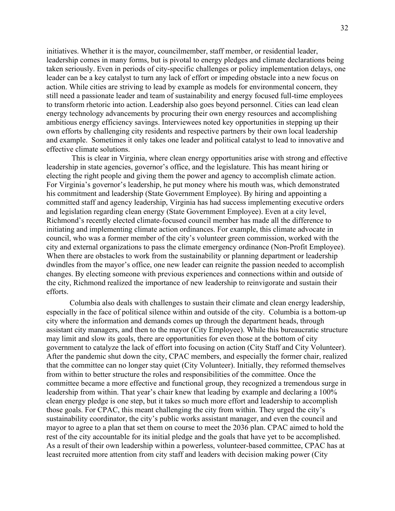initiatives. Whether it is the mayor, councilmember, staff member, or residential leader, leadership comes in many forms, but is pivotal to energy pledges and climate declarations being taken seriously. Even in periods of city-specific challenges or policy implementation delays, one leader can be a key catalyst to turn any lack of effort or impeding obstacle into a new focus on action. While cities are striving to lead by example as models for environmental concern, they still need a passionate leader and team of sustainability and energy focused full-time employees to transform rhetoric into action. Leadership also goes beyond personnel. Cities can lead clean energy technology advancements by procuring their own energy resources and accomplishing ambitious energy efficiency savings. Interviewees noted key opportunities in stepping up their own efforts by challenging city residents and respective partners by their own local leadership and example. Sometimes it only takes one leader and political catalyst to lead to innovative and effective climate solutions.

This is clear in Virginia, where clean energy opportunities arise with strong and effective leadership in state agencies, governor's office, and the legislature. This has meant hiring or electing the right people and giving them the power and agency to accomplish climate action. For Virginia's governor's leadership, he put money where his mouth was, which demonstrated his commitment and leadership (State Government Employee). By hiring and appointing a committed staff and agency leadership, Virginia has had success implementing executive orders and legislation regarding clean energy (State Government Employee). Even at a city level, Richmond's recently elected climate-focused council member has made all the difference to initiating and implementing climate action ordinances. For example, this climate advocate in council, who was a former member of the city's volunteer green commission, worked with the city and external organizations to pass the climate emergency ordinance (Non-Profit Employee). When there are obstacles to work from the sustainability or planning department or leadership dwindles from the mayor's office, one new leader can reignite the passion needed to accomplish changes. By electing someone with previous experiences and connections within and outside of the city, Richmond realized the importance of new leadership to reinvigorate and sustain their efforts.

Columbia also deals with challenges to sustain their climate and clean energy leadership, especially in the face of political silence within and outside of the city. Columbia is a bottom-up city where the information and demands comes up through the department heads, through assistant city managers, and then to the mayor (City Employee). While this bureaucratic structure may limit and slow its goals, there are opportunities for even those at the bottom of city government to catalyze the lack of effort into focusing on action (City Staff and City Volunteer). After the pandemic shut down the city, CPAC members, and especially the former chair, realized that the committee can no longer stay quiet (City Volunteer). Initially, they reformed themselves from within to better structure the roles and responsibilities of the committee. Once the committee became a more effective and functional group, they recognized a tremendous surge in leadership from within. That year's chair knew that leading by example and declaring a 100% clean energy pledge is one step, but it takes so much more effort and leadership to accomplish those goals. For CPAC, this meant challenging the city from within. They urged the city's sustainability coordinator, the city's public works assistant manager, and even the council and mayor to agree to a plan that set them on course to meet the 2036 plan. CPAC aimed to hold the rest of the city accountable for its initial pledge and the goals that have yet to be accomplished. As a result of their own leadership within a powerless, volunteer-based committee, CPAC has at least recruited more attention from city staff and leaders with decision making power (City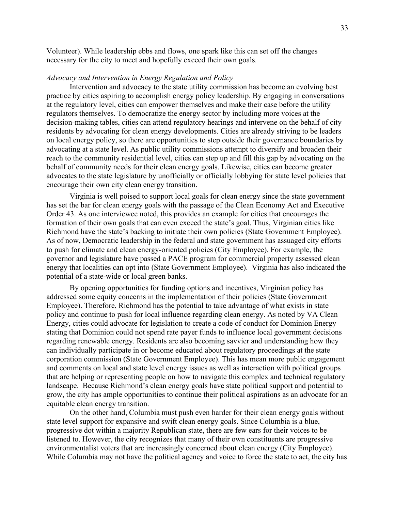Volunteer). While leadership ebbs and flows, one spark like this can set off the changes necessary for the city to meet and hopefully exceed their own goals.

# *Advocacy and Intervention in Energy Regulation and Policy*

Intervention and advocacy to the state utility commission has become an evolving best practice by cities aspiring to accomplish energy policy leadership. By engaging in conversations at the regulatory level, cities can empower themselves and make their case before the utility regulators themselves. To democratize the energy sector by including more voices at the decision-making tables, cities can attend regulatory hearings and intervene on the behalf of city residents by advocating for clean energy developments. Cities are already striving to be leaders on local energy policy, so there are opportunities to step outside their governance boundaries by advocating at a state level. As public utility commissions attempt to diversify and broaden their reach to the community residential level, cities can step up and fill this gap by advocating on the behalf of community needs for their clean energy goals. Likewise, cities can become greater advocates to the state legislature by unofficially or officially lobbying for state level policies that encourage their own city clean energy transition.

Virginia is well poised to support local goals for clean energy since the state government has set the bar for clean energy goals with the passage of the Clean Economy Act and Executive Order 43. As one interviewee noted, this provides an example for cities that encourages the formation of their own goals that can even exceed the state's goal. Thus, Virginian cities like Richmond have the state's backing to initiate their own policies (State Government Employee). As of now, Democratic leadership in the federal and state government has assuaged city efforts to push for climate and clean energy-oriented policies (City Employee). For example, the governor and legislature have passed a PACE program for commercial property assessed clean energy that localities can opt into (State Government Employee). Virginia has also indicated the potential of a state-wide or local green banks.

By opening opportunities for funding options and incentives, Virginian policy has addressed some equity concerns in the implementation of their policies (State Government Employee). Therefore, Richmond has the potential to take advantage of what exists in state policy and continue to push for local influence regarding clean energy. As noted by VA Clean Energy, cities could advocate for legislation to create a code of conduct for Dominion Energy stating that Dominion could not spend rate payer funds to influence local government decisions regarding renewable energy. Residents are also becoming savvier and understanding how they can individually participate in or become educated about regulatory proceedings at the state corporation commission (State Government Employee). This has mean more public engagement and comments on local and state level energy issues as well as interaction with political groups that are helping or representing people on how to navigate this complex and technical regulatory landscape. Because Richmond's clean energy goals have state political support and potential to grow, the city has ample opportunities to continue their political aspirations as an advocate for an equitable clean energy transition.

On the other hand, Columbia must push even harder for their clean energy goals without state level support for expansive and swift clean energy goals. Since Columbia is a blue, progressive dot within a majority Republican state, there are few ears for their voices to be listened to. However, the city recognizes that many of their own constituents are progressive environmentalist voters that are increasingly concerned about clean energy (City Employee). While Columbia may not have the political agency and voice to force the state to act, the city has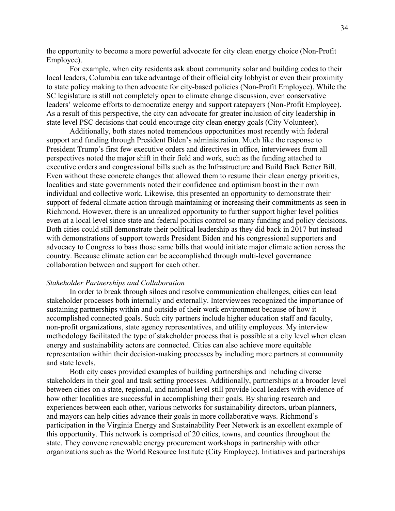the opportunity to become a more powerful advocate for city clean energy choice (Non-Profit Employee).

For example, when city residents ask about community solar and building codes to their local leaders, Columbia can take advantage of their official city lobbyist or even their proximity to state policy making to then advocate for city-based policies (Non-Profit Employee). While the SC legislature is still not completely open to climate change discussion, even conservative leaders' welcome efforts to democratize energy and support ratepayers (Non-Profit Employee). As a result of this perspective, the city can advocate for greater inclusion of city leadership in state level PSC decisions that could encourage city clean energy goals (City Volunteer).

Additionally, both states noted tremendous opportunities most recently with federal support and funding through President Biden's administration. Much like the response to President Trump's first few executive orders and directives in office, interviewees from all perspectives noted the major shift in their field and work, such as the funding attached to executive orders and congressional bills such as the Infrastructure and Build Back Better Bill. Even without these concrete changes that allowed them to resume their clean energy priorities, localities and state governments noted their confidence and optimism boost in their own individual and collective work. Likewise, this presented an opportunity to demonstrate their support of federal climate action through maintaining or increasing their commitments as seen in Richmond. However, there is an unrealized opportunity to further support higher level politics even at a local level since state and federal politics control so many funding and policy decisions. Both cities could still demonstrate their political leadership as they did back in 2017 but instead with demonstrations of support towards President Biden and his congressional supporters and advocacy to Congress to bass those same bills that would initiate major climate action across the country. Because climate action can be accomplished through multi-level governance collaboration between and support for each other.

#### *Stakeholder Partnerships and Collaboration*

In order to break through siloes and resolve communication challenges, cities can lead stakeholder processes both internally and externally. Interviewees recognized the importance of sustaining partnerships within and outside of their work environment because of how it accomplished connected goals. Such city partners include higher education staff and faculty, non-profit organizations, state agency representatives, and utility employees. My interview methodology facilitated the type of stakeholder process that is possible at a city level when clean energy and sustainability actors are connected. Cities can also achieve more equitable representation within their decision-making processes by including more partners at community and state levels.

Both city cases provided examples of building partnerships and including diverse stakeholders in their goal and task setting processes. Additionally, partnerships at a broader level between cities on a state, regional, and national level still provide local leaders with evidence of how other localities are successful in accomplishing their goals. By sharing research and experiences between each other, various networks for sustainability directors, urban planners, and mayors can help cities advance their goals in more collaborative ways. Richmond's participation in the Virginia Energy and Sustainability Peer Network is an excellent example of this opportunity. This network is comprised of 20 cities, towns, and counties throughout the state. They convene renewable energy procurement workshops in partnership with other organizations such as the World Resource Institute (City Employee). Initiatives and partnerships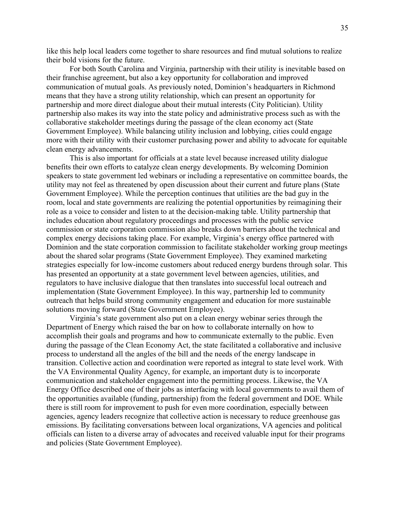like this help local leaders come together to share resources and find mutual solutions to realize their bold visions for the future.

For both South Carolina and Virginia, partnership with their utility is inevitable based on their franchise agreement, but also a key opportunity for collaboration and improved communication of mutual goals. As previously noted, Dominion's headquarters in Richmond means that they have a strong utility relationship, which can present an opportunity for partnership and more direct dialogue about their mutual interests (City Politician). Utility partnership also makes its way into the state policy and administrative process such as with the collaborative stakeholder meetings during the passage of the clean economy act (State Government Employee). While balancing utility inclusion and lobbying, cities could engage more with their utility with their customer purchasing power and ability to advocate for equitable clean energy advancements.

This is also important for officials at a state level because increased utility dialogue benefits their own efforts to catalyze clean energy developments. By welcoming Dominion speakers to state government led webinars or including a representative on committee boards, the utility may not feel as threatened by open discussion about their current and future plans (State Government Employee). While the perception continues that utilities are the bad guy in the room, local and state governments are realizing the potential opportunities by reimagining their role as a voice to consider and listen to at the decision-making table. Utility partnership that includes education about regulatory proceedings and processes with the public service commission or state corporation commission also breaks down barriers about the technical and complex energy decisions taking place. For example, Virginia's energy office partnered with Dominion and the state corporation commission to facilitate stakeholder working group meetings about the shared solar programs (State Government Employee). They examined marketing strategies especially for low-income customers about reduced energy burdens through solar. This has presented an opportunity at a state government level between agencies, utilities, and regulators to have inclusive dialogue that then translates into successful local outreach and implementation (State Government Employee). In this way, partnership led to community outreach that helps build strong community engagement and education for more sustainable solutions moving forward (State Government Employee).

Virginia's state government also put on a clean energy webinar series through the Department of Energy which raised the bar on how to collaborate internally on how to accomplish their goals and programs and how to communicate externally to the public. Even during the passage of the Clean Economy Act, the state facilitated a collaborative and inclusive process to understand all the angles of the bill and the needs of the energy landscape in transition. Collective action and coordination were reported as integral to state level work. With the VA Environmental Quality Agency, for example, an important duty is to incorporate communication and stakeholder engagement into the permitting process. Likewise, the VA Energy Office described one of their jobs as interfacing with local governments to avail them of the opportunities available (funding, partnership) from the federal government and DOE. While there is still room for improvement to push for even more coordination, especially between agencies, agency leaders recognize that collective action is necessary to reduce greenhouse gas emissions. By facilitating conversations between local organizations, VA agencies and political officials can listen to a diverse array of advocates and received valuable input for their programs and policies (State Government Employee).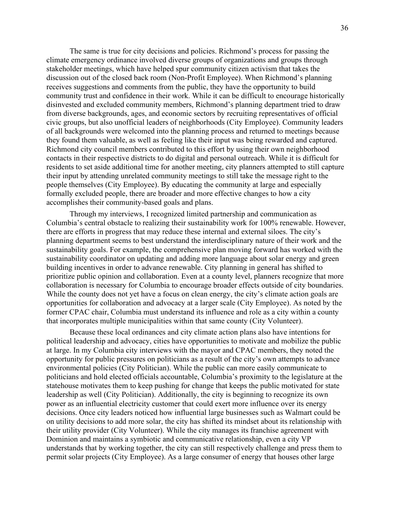The same is true for city decisions and policies. Richmond's process for passing the climate emergency ordinance involved diverse groups of organizations and groups through stakeholder meetings, which have helped spur community citizen activism that takes the discussion out of the closed back room (Non-Profit Employee). When Richmond's planning receives suggestions and comments from the public, they have the opportunity to build community trust and confidence in their work. While it can be difficult to encourage historically disinvested and excluded community members, Richmond's planning department tried to draw from diverse backgrounds, ages, and economic sectors by recruiting representatives of official civic groups, but also unofficial leaders of neighborhoods (City Employee). Community leaders of all backgrounds were welcomed into the planning process and returned to meetings because they found them valuable, as well as feeling like their input was being rewarded and captured. Richmond city council members contributed to this effort by using their own neighborhood contacts in their respective districts to do digital and personal outreach. While it is difficult for residents to set aside additional time for another meeting, city planners attempted to still capture their input by attending unrelated community meetings to still take the message right to the people themselves (City Employee). By educating the community at large and especially formally excluded people, there are broader and more effective changes to how a city accomplishes their community-based goals and plans.

Through my interviews, I recognized limited partnership and communication as Columbia's central obstacle to realizing their sustainability work for 100% renewable. However, there are efforts in progress that may reduce these internal and external siloes. The city's planning department seems to best understand the interdisciplinary nature of their work and the sustainability goals. For example, the comprehensive plan moving forward has worked with the sustainability coordinator on updating and adding more language about solar energy and green building incentives in order to advance renewable. City planning in general has shifted to prioritize public opinion and collaboration. Even at a county level, planners recognize that more collaboration is necessary for Columbia to encourage broader effects outside of city boundaries. While the county does not yet have a focus on clean energy, the city's climate action goals are opportunities for collaboration and advocacy at a larger scale (City Employee). As noted by the former CPAC chair, Columbia must understand its influence and role as a city within a county that incorporates multiple municipalities within that same county (City Volunteer).

Because these local ordinances and city climate action plans also have intentions for political leadership and advocacy, cities have opportunities to motivate and mobilize the public at large. In my Columbia city interviews with the mayor and CPAC members, they noted the opportunity for public pressures on politicians as a result of the city's own attempts to advance environmental policies (City Politician). While the public can more easily communicate to politicians and hold elected officials accountable, Columbia's proximity to the legislature at the statehouse motivates them to keep pushing for change that keeps the public motivated for state leadership as well (City Politician). Additionally, the city is beginning to recognize its own power as an influential electricity customer that could exert more influence over its energy decisions. Once city leaders noticed how influential large businesses such as Walmart could be on utility decisions to add more solar, the city has shifted its mindset about its relationship with their utility provider (City Volunteer). While the city manages its franchise agreement with Dominion and maintains a symbiotic and communicative relationship, even a city VP understands that by working together, the city can still respectively challenge and press them to permit solar projects (City Employee). As a large consumer of energy that houses other large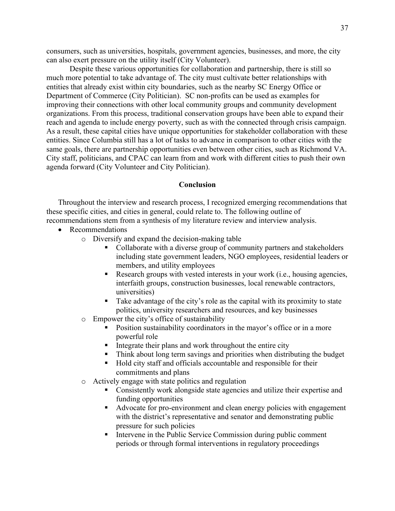consumers, such as universities, hospitals, government agencies, businesses, and more, the city can also exert pressure on the utility itself (City Volunteer).

Despite these various opportunities for collaboration and partnership, there is still so much more potential to take advantage of. The city must cultivate better relationships with entities that already exist within city boundaries, such as the nearby SC Energy Office or Department of Commerce (City Politician). SC non-profits can be used as examples for improving their connections with other local community groups and community development organizations. From this process, traditional conservation groups have been able to expand their reach and agenda to include energy poverty, such as with the connected through crisis campaign. As a result, these capital cities have unique opportunities for stakeholder collaboration with these entities. Since Columbia still has a lot of tasks to advance in comparison to other cities with the same goals, there are partnership opportunities even between other cities, such as Richmond VA. City staff, politicians, and CPAC can learn from and work with different cities to push their own agenda forward (City Volunteer and City Politician).

# **Conclusion**

Throughout the interview and research process, I recognized emerging recommendations that these specific cities, and cities in general, could relate to. The following outline of

recommendations stem from a synthesis of my literature review and interview analysis.

- Recommendations
	- o Diversify and expand the decision-making table
		- Collaborate with a diverse group of community partners and stakeholders including state government leaders, NGO employees, residential leaders or members, and utility employees
		- Research groups with vested interests in your work (i.e., housing agencies, interfaith groups, construction businesses, local renewable contractors, universities)
		- Take advantage of the city's role as the capital with its proximity to state politics, university researchers and resources, and key businesses
	- o Empower the city's office of sustainability
		- Position sustainability coordinators in the mayor's office or in a more powerful role
		- $\blacksquare$  Integrate their plans and work throughout the entire city
		- Think about long term savings and priorities when distributing the budget
		- Hold city staff and officials accountable and responsible for their commitments and plans
	- o Actively engage with state politics and regulation
		- Consistently work alongside state agencies and utilize their expertise and funding opportunities
		- Advocate for pro-environment and clean energy policies with engagement with the district's representative and senator and demonstrating public pressure for such policies
		- Intervene in the Public Service Commission during public comment periods or through formal interventions in regulatory proceedings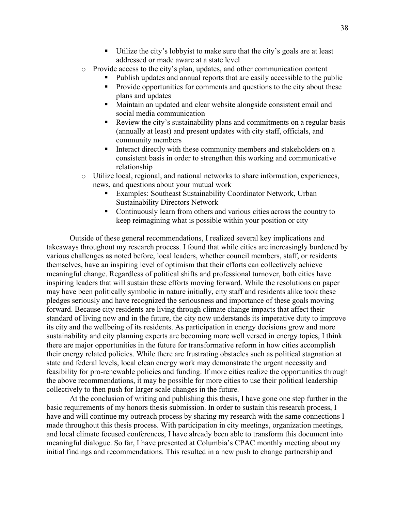- Utilize the city's lobbyist to make sure that the city's goals are at least addressed or made aware at a state level
- o Provide access to the city's plan, updates, and other communication content
	- Publish updates and annual reports that are easily accessible to the public
	- Provide opportunities for comments and questions to the city about these plans and updates
	- Maintain an updated and clear website alongside consistent email and social media communication
	- Review the city's sustainability plans and commitments on a regular basis (annually at least) and present updates with city staff, officials, and community members
	- Interact directly with these community members and stakeholders on a consistent basis in order to strengthen this working and communicative relationship
- o Utilize local, regional, and national networks to share information, experiences, news, and questions about your mutual work
	- Examples: Southeast Sustainability Coordinator Network, Urban Sustainability Directors Network
	- Continuously learn from others and various cities across the country to keep reimagining what is possible within your position or city

Outside of these general recommendations, I realized several key implications and takeaways throughout my research process. I found that while cities are increasingly burdened by various challenges as noted before, local leaders, whether council members, staff, or residents themselves, have an inspiring level of optimism that their efforts can collectively achieve meaningful change. Regardless of political shifts and professional turnover, both cities have inspiring leaders that will sustain these efforts moving forward. While the resolutions on paper may have been politically symbolic in nature initially, city staff and residents alike took these pledges seriously and have recognized the seriousness and importance of these goals moving forward. Because city residents are living through climate change impacts that affect their standard of living now and in the future, the city now understands its imperative duty to improve its city and the wellbeing of its residents. As participation in energy decisions grow and more sustainability and city planning experts are becoming more well versed in energy topics, I think there are major opportunities in the future for transformative reform in how cities accomplish their energy related policies. While there are frustrating obstacles such as political stagnation at state and federal levels, local clean energy work may demonstrate the urgent necessity and feasibility for pro-renewable policies and funding. If more cities realize the opportunities through the above recommendations, it may be possible for more cities to use their political leadership collectively to then push for larger scale changes in the future.

At the conclusion of writing and publishing this thesis, I have gone one step further in the basic requirements of my honors thesis submission. In order to sustain this research process, I have and will continue my outreach process by sharing my research with the same connections I made throughout this thesis process. With participation in city meetings, organization meetings, and local climate focused conferences, I have already been able to transform this document into meaningful dialogue. So far, I have presented at Columbia's CPAC monthly meeting about my initial findings and recommendations. This resulted in a new push to change partnership and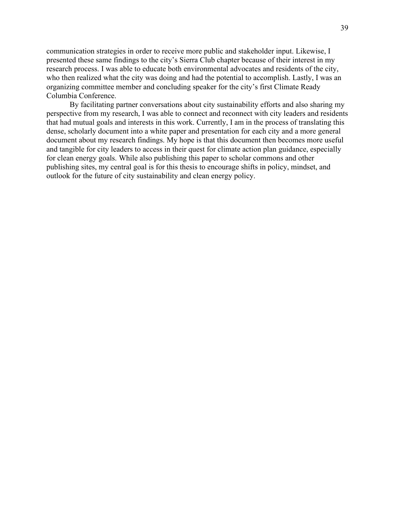communication strategies in order to receive more public and stakeholder input. Likewise, I presented these same findings to the city's Sierra Club chapter because of their interest in my research process. I was able to educate both environmental advocates and residents of the city, who then realized what the city was doing and had the potential to accomplish. Lastly, I was an organizing committee member and concluding speaker for the city's first Climate Ready Columbia Conference.

By facilitating partner conversations about city sustainability efforts and also sharing my perspective from my research, I was able to connect and reconnect with city leaders and residents that had mutual goals and interests in this work. Currently, I am in the process of translating this dense, scholarly document into a white paper and presentation for each city and a more general document about my research findings. My hope is that this document then becomes more useful and tangible for city leaders to access in their quest for climate action plan guidance, especially for clean energy goals. While also publishing this paper to scholar commons and other publishing sites, my central goal is for this thesis to encourage shifts in policy, mindset, and outlook for the future of city sustainability and clean energy policy.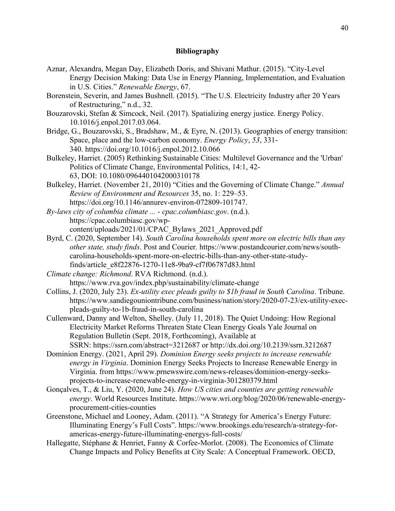# **Bibliography**

- Aznar, Alexandra, Megan Day, Elizabeth Doris, and Shivani Mathur. (2015). "City-Level Energy Decision Making: Data Use in Energy Planning, Implementation, and Evaluation in U.S. Cities." *Renewable Energy*, 67.
- Borenstein, Severin, and James Bushnell. (2015). "The U.S. Electricity Industry after 20 Years of Restructuring," n.d., 32.
- Bouzarovski, Stefan & Simcock, Neil. (2017). Spatializing energy justice. Energy Policy. 10.1016/j.enpol.2017.03.064.
- Bridge, G[., Bouzarovski, S.,](https://www.research.manchester.ac.uk/portal/stefan.bouzarovski.html) Bradshaw, M., & Eyre, N. (2013). [Geographies of energy transition:](https://www.research.manchester.ac.uk/portal/en/publications/geographies-of-energy-transition-space-place-and-the-lowcarbon-economy(85177272-6644-44a1-ac40-e483a68e6ee7).html)  [Space, place and the low-carbon economy.](https://www.research.manchester.ac.uk/portal/en/publications/geographies-of-energy-transition-space-place-and-the-lowcarbon-economy(85177272-6644-44a1-ac40-e483a68e6ee7).html) *Energy Policy*, *53*, 331- 340. <https://doi.org/10.1016/j.enpol.2012.10.066>
- Bulkeley, Harriet. (2005) Rethinking Sustainable Cities: Multilevel Governance and the 'Urban' Politics of Climate Change, Environmental Politics, 14:1, 42- 63, DOI: [10.1080/0964401042000310178](https://doi.org/10.1080/0964401042000310178)
- Bulkeley, Harriet. (November 21, 2010) "Cities and the Governing of Climate Change." *Annual Review of Environment and Resources* 35, no. 1: 229–53. [https://doi.org/10.1146/annurev-environ-072809-101747.](https://doi.org/10.1146/annurev-environ-072809-101747)
- *By-laws city of columbia climate ... - cpac.columbiasc.gov*. (n.d.). https://cpac.columbiasc.gov/wpcontent/uploads/2021/01/CPAC\_Bylaws\_2021\_Approved.pdf
- Byrd, C. (2020, September 14). *South Carolina households spent more on electric bills than any other state, study finds*. Post and Courier. https://www.postandcourier.com/news/southcarolina-households-spent-more-on-electric-bills-than-any-other-state-studyfinds/article\_e8f22876-1270-11e8-9ba9-cf7f06787d83.html
- *Climate change: Richmond*. RVA Richmond. (n.d.). https://www.rva.gov/index.php/sustainability/climate-change
- Collins, J. (2020, July 23). *Ex-utility exec pleads guilty to \$1b fraud in South Carolina*. Tribune. https://www.sandiegouniontribune.com/business/nation/story/2020-07-23/ex-utility-execpleads-guilty-to-1b-fraud-in-south-carolina
- Cullenward, Danny and Welton, Shelley. (July 11, 2018). The Quiet Undoing: How Regional Electricity Market Reforms Threaten State Clean Energy Goals Yale Journal on Regulation Bulletin (Sept. 2018, Forthcoming), Available at SSRN: <https://ssrn.com/abstract=3212687> or [http://dx.doi.org/10.2139/ssrn.3212687](https://dx.doi.org/10.2139/ssrn.3212687)
- Dominion Energy. (2021, April 29). *Dominion Energy seeks projects to increase renewable energy in Virginia*. Dominion Energy Seeks Projects to Increase Renewable Energy in Virginia. from https://www.prnewswire.com/news-releases/dominion-energy-seeksprojects-to-increase-renewable-energy-in-virginia-301280379.html
- Gonçalves, T., & Liu, Y. (2020, June 24). *How US cities and counties are getting renewable energy*. World Resources Institute. https://www.wri.org/blog/2020/06/renewable-energyprocurement-cities-counties
- Greenstone, Michael and Looney, Adam. (2011). "A Strategy for America's Energy Future: Illuminating Energy's Full Costs". https://www.brookings.edu/research/a-strategy-foramericas-energy-future-illuminating-energys-full-costs/
- Hallegatte, Stéphane & Henriet, Fanny & Corfee-Morlot. (2008). The Economics of Climate Change Impacts and Policy Benefits at City Scale: A Conceptual Framework. OECD,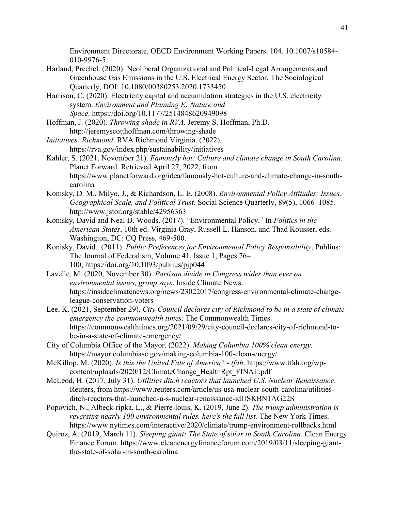Environment Directorate, OECD Environment Working Papers. 104. 10.1007/s10584- 010-9976-5.

- Harland, Prechel. (2020): Neoliberal Organizational and Political-Legal Arrangements and Greenhouse Gas Emissions in the U.S. Electrical Energy Sector, The Sociological Quarterly, DOI: 10.1080/00380253.2020.1733450
- Harrison, C. (2020). Electricity capital and accumulation strategies in the U.S. electricity system. *Environment and Planning E: Nature and Space*. <https://doi.org/10.1177/2514848620949098>
- Hoffman, J. (2020). *Throwing shade in RVA*. Jeremy S. Hoffman, Ph.D. http://jeremyscotthoffman.com/throwing-shade
- *Initiatives: Richmond*. RVA Richmond Virginia. (2022). https://rva.gov/index.php/sustainability/initiatives
- Kahler, S. (2021, November 21). *Famously hot: Culture and climate change in South Carolina*. Planet Forward. Retrieved April 27, 2022, from https://www.planetforward.org/idea/famously-hot-culture-and-climate-change-in-southcarolina
- Konisky, D. M., Milyo, J., & Richardson, L. E. (2008). *Environmental Policy Attitudes: Issues, Geographical Scale, and Political Trust*. Social Science Quarterly, 89(5), 1066–1085. <http://www.jstor.org/stable/42956363>
- Konisky, David and Neal D. Woods. (2017). "Environmental Policy." In *Politics in the American States*, 10th ed. Virginia Gray, Russell L. Hanson, and Thad Kousser, eds. Washington, DC: CQ Press, 469-500.
- Konisky, David. (2011). *Public Preferences for Environmental Policy Responsibility*, Publius: The Journal of Federalism, Volume 41, Issue 1, Pages 76– 100, <https://doi.org/10.1093/publius/pjp044>
- Lavelle, M. (2020, November 30). *Partisan divide in Congress wider than ever on environmental issues, group says*. Inside Climate News. https://insideclimatenews.org/news/23022017/congress-environmental-climate-changeleague-conservation-voters
- Lee, K. (2021, September 29). *City Council declares city of Richmond to be in a state of climate emergency the commonwealth times*. The Commonwealth Times. https://commonwealthtimes.org/2021/09/29/city-council-declares-city-of-richmond-tobe-in-a-state-of-climate-emergency/
- City of Columbia Office of the Mayor. (2022). *Making Columbia 100% clean energy*. https://mayor.columbiasc.gov/making-columbia-100-clean-energy/
- McKillop, M. (2020). *Is this the United Fate of America? - tfah*. https://www.tfah.org/wpcontent/uploads/2020/12/ClimateChange\_HealthRpt\_FINAL.pdf
- McLeod, H. (2017, July 31). *Utilities ditch reactors that launched U.S. Nuclear Renaissance*. Reuters, from https://www.reuters.com/article/us-usa-nuclear-south-carolina/utilitiesditch-reactors-that-launched-u-s-nuclear-renaissance-idUSKBN1AG22S
- Popovich, N., Albeck-ripka, L., & Pierre-louis, K. (2019, June 2). *The trump administration is reversing nearly 100 environmental rules. here's the full list.* The New York Times. https://www.nytimes.com/interactive/2020/climate/trump-environment-rollbacks.html
- Quiroz, A. (2019, March 11). *Sleeping giant: The State of solar in South Carolina*. Clean Energy Finance Forum. https://www.cleanenergyfinanceforum.com/2019/03/11/sleeping-giantthe-state-of-solar-in-south-carolina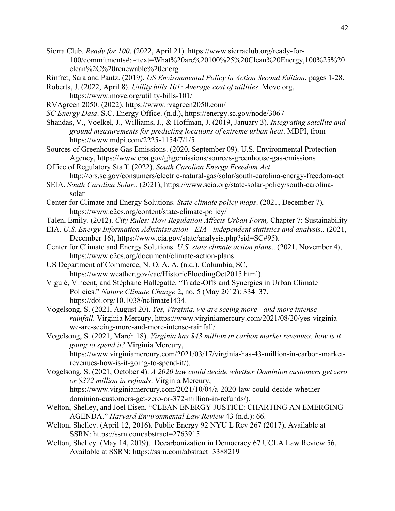- Sierra Club. *Ready for 100*. (2022, April 21). https://www.sierraclub.org/ready-for-100/commitments#:~:text=What%20are%20100%25%20Clean%20Energy,100%25%20 clean%2C%20renewable%20energ
- Rinfret, Sara and Pautz. (2019). *US Environmental Policy in Action Second Edition*, pages 1-28.
- Roberts, J. (2022, April 8). *Utility bills 101: Average cost of utilities*. Move.org,
- https://www.move.org/utility-bills-101/
- RVAgreen 2050. (2022), https://www.rvagreen2050.com/
- *SC Energy Data*. S.C. Energy Office. (n.d.), https://energy.sc.gov/node/3067
- Shandas, V., Voelkel, J., Williams, J., & Hoffman, J. (2019, January 3). *Integrating satellite and ground measurements for predicting locations of extreme urban heat*. MDPI, from https://www.mdpi.com/2225-1154/7/1/5
- Sources of Greenhouse Gas Emissions. (2020, September 09). U.S. Environmental Protection Agency, https://www.epa.gov/ghgemissions/sources-greenhouse-gas-emissions
- Office of Regulatory Staff. (2022). *South Carolina Energy Freedom Act* http://ors.sc.gov/consumers/electric-natural-gas/solar/south-carolina-energy-freedom-act
- SEIA. *South Carolina Solar*.. (2021), https://www.seia.org/state-solar-policy/south-carolinasolar
- Center for Climate and Energy Solutions. *State climate policy maps*. (2021, December 7), https://www.c2es.org/content/state-climate-policy/
- Talen, Emily. (2012). *City Rules: How Regulation Affects Urban Form,* Chapter 7: Sustainability
- EIA. *U.S. Energy Information Administration - EIA - independent statistics and analysis*.. (2021, December 16), https://www.eia.gov/state/analysis.php?sid=SC#95).
- Center for Climate and Energy Solutions. *U.S. state climate action plans*.. (2021, November 4), https://www.c2es.org/document/climate-action-plans
- US Department of Commerce, N. O. A. A. (n.d.). Columbia, SC, https://www.weather.gov/cae/HistoricFloodingOct2015.html).
- Viguié, Vincent, and Stéphane Hallegatte. "Trade-Offs and Synergies in Urban Climate Policies." *Nature Climate Change* 2, no. 5 (May 2012): 334–37. [https://doi.org/10.1038/nclimate1434.](https://doi.org/10.1038/nclimate1434)
- Vogelsong, S. (2021, August 20). *Yes, Virginia, we are seeing more - and more intense rainfall*. Virginia Mercury, https://www.virginiamercury.com/2021/08/20/yes-virginiawe-are-seeing-more-and-more-intense-rainfall/
- Vogelsong, S. (2021, March 18). *Virginia has \$43 million in carbon market revenues. how is it going to spend it?* Virginia Mercury, https://www.virginiamercury.com/2021/03/17/virginia-has-43-million-in-carbon-marketrevenues-how-is-it-going-to-spend-it/).
- Vogelsong, S. (2021, October 4). *A 2020 law could decide whether Dominion customers get zero or \$372 million in refunds*. Virginia Mercury, https://www.virginiamercury.com/2021/10/04/a-2020-law-could-decide-whether
	- dominion-customers-get-zero-or-372-million-in-refunds/).
- Welton, Shelley, and Joel Eisen. "CLEAN ENERGY JUSTICE: CHARTING AN EMERGING AGENDA." *Harvard Environmental Law Review* 43 (n.d.): 66.
- Welton, Shelley. (April 12, 2016). Public Energy 92 NYU L Rev 267 (2017), Available at SSRN: <https://ssrn.com/abstract=2763915>
- Welton, Shelley. (May 14, 2019). Decarbonization in Democracy 67 UCLA Law Review 56, Available at SSRN: <https://ssrn.com/abstract=3388219>